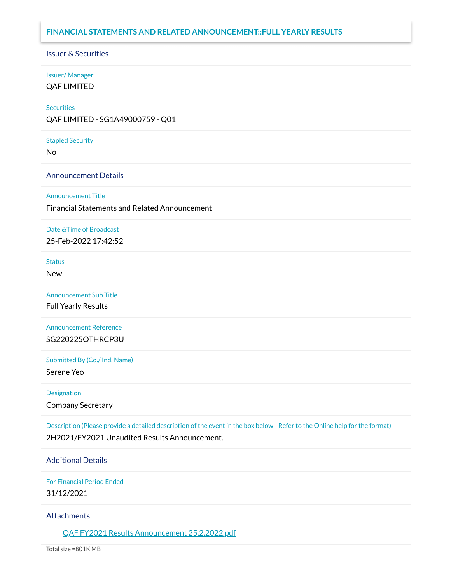### **FINANCIAL STATEMENTS AND RELATED ANNOUNCEMENT::FULL YEARLY RESULTS**

# Issuer & Securities

# Issuer/ Manager

QAF LIMITED

### **Securities**

QAF LIMITED - SG1A49000759 - Q01

#### Stapled Security

No

### Announcement Details

#### Announcement Title

Financial Statements and Related Announcement

#### Date &Time of Broadcast

25-Feb-2022 17:42:52

#### **Status**

New

#### Announcement Sub Title

Full Yearly Results

Announcement Reference SG220225OTHRCP3U

### Submitted By (Co./ Ind. Name)

Serene Yeo

#### Designation

Company Secretary

Description (Please provide a detailed description of the event in the box below - Refer to the Online help for the format) 2H2021/FY2021 Unaudited Results Announcement.

### Additional Details

For Financial Period Ended 31/12/2021

#### **Attachments**

QAF FY2021 Results [Announcement 25.2.2022.pdf](https://links.sgx.com/1.0.0/corporate-announcements/H9OISRPUSJ306P90/703803_QAF%20FY2021%20Results%20Announcement%2025.2.2022.pdf)

Total size =801K MB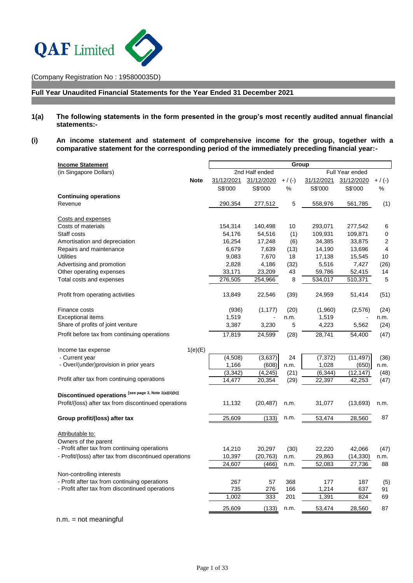

(Company Registration No : 195800035D)

**Full Year Unaudited Financial Statements for the Year Ended 31 December 2021**

- **1(a) The following statements in the form presented in the group's most recently audited annual financial statements:-**
- **(i) An income statement and statement of comprehensive income for the group, together with a comparative statement for the corresponding period of the immediately preceding financial year:-**

| <b>Income Statement</b>                                | Group          |                |                 |                  |            |                |  |  |
|--------------------------------------------------------|----------------|----------------|-----------------|------------------|------------|----------------|--|--|
| (in Singapore Dollars)                                 |                | 2nd Half ended | Full Year ended |                  |            |                |  |  |
| <b>Note</b>                                            | 31/12/2021     | 31/12/2020     | $+ / (-)$       | 31/12/2021       | 31/12/2020 | $+ / (-)$      |  |  |
|                                                        | S\$'000        | S\$'000        | $\%$            | S\$'000          | S\$'000    | %              |  |  |
| <b>Continuing operations</b>                           |                |                |                 |                  |            |                |  |  |
| Revenue                                                | 290,354        | 277,512        | 5               | 558,976          | 561,785    | (1)            |  |  |
|                                                        |                |                |                 |                  |            |                |  |  |
| Costs and expenses                                     |                |                |                 |                  |            |                |  |  |
| Costs of materials                                     | 154,314        | 140,498        | 10              | 293,071          | 277,542    | 6              |  |  |
| Staff costs                                            | 54,176         | 54,516         | (1)             | 109,931          | 109,871    | 0              |  |  |
| Amortisation and depreciation                          | 16,254         | 17,248         | (6)             | 34,385           | 33,875     | $\overline{c}$ |  |  |
| Repairs and maintenance                                | 6,679          | 7,639          | (13)            | 14,190           | 13,696     | 4              |  |  |
| <b>Utilities</b>                                       | 9,083          | 7,670          | 18              | 17,138           | 15,545     | 10             |  |  |
| Advertising and promotion                              | 2,828          | 4,186          | (32)            | 5,516            | 7,427      | (26)           |  |  |
| Other operating expenses                               | 33,171         | 23,209         | 43              | 59,786           | 52,415     | 14             |  |  |
| Total costs and expenses                               | 276,505        | 254,966        | 8               | 534,017          | 510,371    | $\sqrt{5}$     |  |  |
| Profit from operating activities                       | 13,849         | 22,546         | (39)            | 24,959           | 51,414     | (51)           |  |  |
|                                                        |                |                |                 |                  |            |                |  |  |
| Finance costs<br><b>Exceptional items</b>              | (936)<br>1,519 | (1, 177)       | (20)            | (1,960)<br>1,519 | (2,576)    | (24)           |  |  |
| Share of profits of joint venture                      | 3,387          | 3,230          | n.m.<br>5       | 4,223            | 5,562      | n.m.<br>(24)   |  |  |
|                                                        |                |                |                 |                  |            |                |  |  |
| Profit before tax from continuing operations           | 17,819         | 24,599         | (28)            | 28,741           | 54,400     | (47)           |  |  |
| 1(e)(E)<br>Income tax expense                          |                |                |                 |                  |            |                |  |  |
| - Current year                                         | (4,508)        | (3,637)        | 24              | (7, 372)         | (11, 497)  | (36)           |  |  |
| - Over/(under)provision in prior years                 | 1,166          | (608)          | n.m.            | 1,028            | (650)      | n.m.           |  |  |
|                                                        | (3, 342)       | (4,245)        | (21)            | (6, 344)         | (12, 147)  | (48)           |  |  |
| Profit after tax from continuing operations            | 14,477         | 20,354         | (29)            | 22,397           | 42,253     | (47)           |  |  |
|                                                        |                |                |                 |                  |            |                |  |  |
| Discontinued operations [see page 3, Note 1(a)(ii)(b)] |                |                |                 |                  |            |                |  |  |
| Profit/(loss) after tax from discontinued operations   | 11,132         | (20, 487)      | n.m.            | 31,077           | (13,693)   | n.m.           |  |  |
|                                                        | 25,609         | (133)          | n.m.            | 53,474           |            | 87             |  |  |
| Group profit/(loss) after tax                          |                |                |                 |                  | 28,560     |                |  |  |
| Attributable to:                                       |                |                |                 |                  |            |                |  |  |
| Owners of the parent                                   |                |                |                 |                  |            |                |  |  |
| - Profit after tax from continuing operations          | 14,210         | 20,297         | (30)            | 22,220           | 42,066     | (47)           |  |  |
| - Profit/(loss) after tax from discontinued operations | 10,397         | (20, 763)      | n.m.            | 29,863           | (14, 330)  | n.m.           |  |  |
|                                                        | 24,607         | (466)          | n.m.            | 52,083           | 27,736     | 88             |  |  |
| Non-controlling interests                              |                |                |                 |                  |            |                |  |  |
| - Profit after tax from continuing operations          | 267            | 57             | 368             | 177              | 187        | (5)            |  |  |
| - Profit after tax from discontinued operations        | 735            | 276            | 166             | 1,214            | 637        | 91             |  |  |
|                                                        | 1,002          | 333            | 201             | 1,391            | 824        | 69             |  |  |
|                                                        |                |                |                 |                  |            |                |  |  |
|                                                        | 25,609         | (133)          | n.m.            | 53,474           | 28,560     | 87             |  |  |
| $n.m. = not meaningful$                                |                |                |                 |                  |            |                |  |  |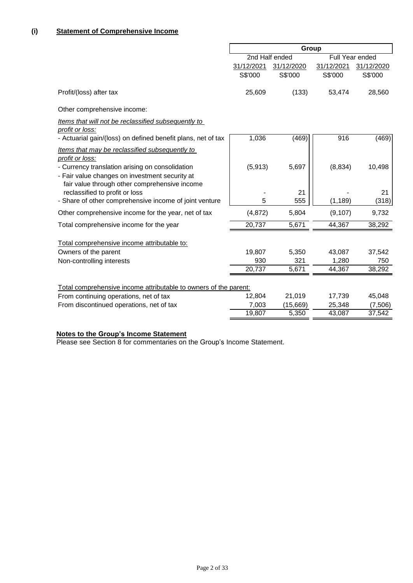|                                                                                                                                                                                                                         | Group                 |                       |                       |                       |  |  |
|-------------------------------------------------------------------------------------------------------------------------------------------------------------------------------------------------------------------------|-----------------------|-----------------------|-----------------------|-----------------------|--|--|
|                                                                                                                                                                                                                         | 2nd Half ended        |                       |                       | Full Year ended       |  |  |
|                                                                                                                                                                                                                         | 31/12/2021<br>S\$'000 | 31/12/2020<br>S\$'000 | 31/12/2021<br>S\$'000 | 31/12/2020<br>S\$'000 |  |  |
| Profit/(loss) after tax                                                                                                                                                                                                 | 25,609                | (133)                 | 53,474                | 28,560                |  |  |
| Other comprehensive income:                                                                                                                                                                                             |                       |                       |                       |                       |  |  |
| Items that will not be reclassified subsequently to<br>profit or loss:                                                                                                                                                  |                       |                       |                       |                       |  |  |
| - Actuarial gain/(loss) on defined benefit plans, net of tax                                                                                                                                                            | 1,036                 | (469)                 | 916                   | (469)                 |  |  |
| Items that may be reclassified subsequently to<br>profit or loss:<br>- Currency translation arising on consolidation<br>- Fair value changes on investment security at<br>fair value through other comprehensive income | (5, 913)              | 5,697                 | (8,834)               | 10,498                |  |  |
| reclassified to profit or loss                                                                                                                                                                                          |                       | 21                    |                       | 21                    |  |  |
| - Share of other comprehensive income of joint venture                                                                                                                                                                  | 5                     | 555                   | (1, 189)              | (318)                 |  |  |
| Other comprehensive income for the year, net of tax                                                                                                                                                                     | (4, 872)              | 5,804                 | (9, 107)              | 9,732                 |  |  |
| Total comprehensive income for the year                                                                                                                                                                                 | 20,737                | 5,671                 | 44,367                | 38,292                |  |  |
| Total comprehensive income attributable to:                                                                                                                                                                             |                       |                       |                       |                       |  |  |
| Owners of the parent                                                                                                                                                                                                    | 19,807                | 5,350                 | 43,087                | 37,542                |  |  |
| Non-controlling interests                                                                                                                                                                                               | 930                   | 321                   | 1,280                 | 750                   |  |  |
|                                                                                                                                                                                                                         | 20,737                | 5,671                 | 44,367                | 38,292                |  |  |
| Total comprehensive income attributable to owners of the parent:                                                                                                                                                        |                       |                       |                       |                       |  |  |
| From continuing operations, net of tax                                                                                                                                                                                  | 12,804                | 21,019                | 17,739                | 45,048                |  |  |
| From discontinued operations, net of tax                                                                                                                                                                                | 7,003                 | (15,669)              | 25,348                | (7,506)               |  |  |
|                                                                                                                                                                                                                         | 19,807                | 5,350                 | 43,087                | 37,542                |  |  |

#### **Notes to the Group's Income Statement**

Please see Section 8 for commentaries on the Group's Income Statement.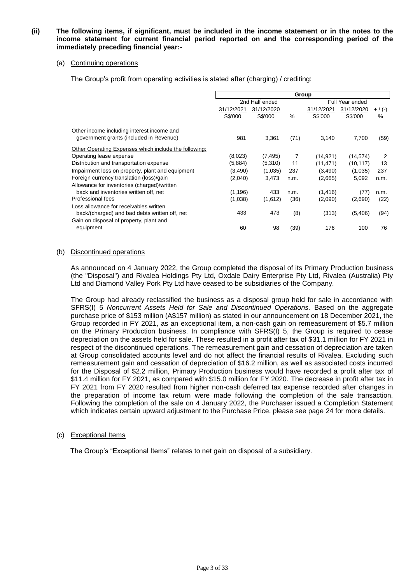#### **(ii) The following items, if significant, must be included in the income statement or in the notes to the income statement for current financial period reported on and the corresponding period of the immediately preceding financial year:-**

#### (a) Continuing operations

The Group's profit from operating activities is stated after (charging) / crediting:

|                                                       | Group      |                |      |                 |            |           |  |  |
|-------------------------------------------------------|------------|----------------|------|-----------------|------------|-----------|--|--|
|                                                       |            | 2nd Half ended |      | Full Year ended |            |           |  |  |
|                                                       | 31/12/2021 | 31/12/2020     |      | 31/12/2021      | 31/12/2020 | $+$ / (-) |  |  |
|                                                       | S\$'000    | S\$'000        | $\%$ | S\$'000         | S\$'000    | $\%$      |  |  |
| Other income including interest income and            |            |                |      |                 |            |           |  |  |
| government grants (included in Revenue)               | 981        | 3,361          | (71) | 3,140           | 7,700      | (59)      |  |  |
| Other Operating Expenses which include the following: |            |                |      |                 |            |           |  |  |
| Operating lease expense                               | (8,023)    | (7, 495)       | 7    | (14, 921)       | (14, 574)  | 2         |  |  |
| Distribution and transportation expense               | (5,884)    | (5,310)        | 11   | (11, 471)       | (10, 117)  | 13        |  |  |
| Impairment loss on property, plant and equipment      | (3,490)    | (1,035)        | 237  | (3,490)         | (1,035)    | 237       |  |  |
| Foreign currency translation (loss)/gain              | (2,040)    | 3,473          | n.m. | (2,665)         | 5,092      | n.m.      |  |  |
| Allowance for inventories (charged)/written           |            |                |      |                 |            |           |  |  |
| back and inventories written off, net                 | (1, 196)   | 433            | n.m. | (1, 416)        | (77        | n.m.      |  |  |
| Professional fees                                     | (1,038)    | (1,612)        | (36) | (2,090)         | (2,690)    | (22)      |  |  |
| Loss allowance for receivables written                |            |                |      |                 |            |           |  |  |
| back/(charged) and bad debts written off, net         | 433        | 473            | (8)  | (313)           | (5,406)    | (94)      |  |  |
| Gain on disposal of property, plant and               |            |                |      |                 |            |           |  |  |
| equipment                                             | 60         | 98             | (39) | 176             | 100        | 76        |  |  |

### (b) Discontinued operations

As announced on 4 January 2022, the Group completed the disposal of its Primary Production business (the "Disposal") and Rivalea Holdings Pty Ltd, Oxdale Dairy Enterprise Pty Ltd, Rivalea (Australia) Pty Ltd and Diamond Valley Pork Pty Ltd have ceased to be subsidiaries of the Company.

The Group had already reclassified the business as a disposal group held for sale in accordance with SFRS(I) 5 *Noncurrent Assets Held for Sale and Discontinued Operations*. Based on the aggregate purchase price of \$153 million (A\$157 million) as stated in our announcement on 18 December 2021, the Group recorded in FY 2021, as an exceptional item, a non-cash gain on remeasurement of \$5.7 million on the Primary Production business. In compliance with SFRS(I) 5, the Group is required to cease depreciation on the assets held for sale. These resulted in a profit after tax of \$31.1 million for FY 2021 in respect of the discontinued operations. The remeasurement gain and cessation of depreciation are taken at Group consolidated accounts level and do not affect the financial results of Rivalea. Excluding such remeasurement gain and cessation of depreciation of \$16.2 million, as well as associated costs incurred for the Disposal of \$2.2 million, Primary Production business would have recorded a profit after tax of \$11.4 million for FY 2021, as compared with \$15.0 million for FY 2020. The decrease in profit after tax in FY 2021 from FY 2020 resulted from higher non-cash deferred tax expense recorded after changes in the preparation of income tax return were made following the completion of the sale transaction. Following the completion of the sale on 4 January 2022, the Purchaser issued a Completion Statement which indicates certain upward adjustment to the Purchase Price, please see page 24 for more details.

#### (c) Exceptional Items

The Group's "Exceptional Items" relates to net gain on disposal of a subsidiary.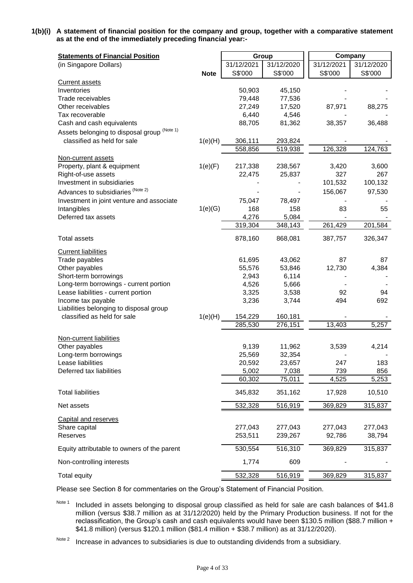**1(b)(i) A statement of financial position for the company and group, together with a comparative statement as at the end of the immediately preceding financial year:-**

| <b>Statements of Financial Position</b>      |             |            | Group      |            | Company    |
|----------------------------------------------|-------------|------------|------------|------------|------------|
| (in Singapore Dollars)                       |             | 31/12/2021 | 31/12/2020 | 31/12/2021 | 31/12/2020 |
|                                              | <b>Note</b> | S\$'000    | S\$'000    | S\$'000    | S\$'000    |
| <b>Current assets</b>                        |             |            |            |            |            |
| Inventories                                  |             | 50,903     | 45,150     |            |            |
| Trade receivables                            |             | 79,448     | 77,536     |            |            |
| Other receivables                            |             | 27,249     | 17,520     | 87,971     | 88,275     |
| Tax recoverable                              |             | 6,440      | 4,546      |            |            |
| Cash and cash equivalents                    |             | 88,705     | 81,362     | 38,357     | 36,488     |
| Assets belonging to disposal group (Note 1)  |             |            |            |            |            |
| classified as held for sale                  | 1(e)(H)     | 306,111    | 293,824    |            |            |
|                                              |             | 558,856    | 519,938    | 126,328    | 124,763    |
| Non-current assets                           |             |            |            |            |            |
| Property, plant & equipment                  | 1(e)(F)     | 217,338    | 238,567    | 3,420      | 3,600      |
| Right-of-use assets                          |             | 22,475     | 25,837     | 327        | 267        |
| Investment in subsidiaries                   |             |            |            | 101,532    | 100,132    |
| Advances to subsidiaries (Note 2)            |             |            |            | 156,067    | 97,530     |
| Investment in joint venture and associate    |             | 75,047     | 78,497     |            |            |
| Intangibles                                  | 1(e)(G)     | 168        | 158        | 83         | 55         |
| Deferred tax assets                          |             | 4,276      | 5,084      |            |            |
|                                              |             | 319,304    | 348,143    | 261,429    | 201,584    |
| <b>Total assets</b>                          |             | 878,160    | 868,081    | 387,757    | 326,347    |
| <b>Current liabilities</b>                   |             |            |            |            |            |
| Trade payables                               |             | 61,695     | 43,062     | 87         | 87         |
| Other payables                               |             | 55,576     | 53,846     | 12,730     | 4,384      |
| Short-term borrowings                        |             | 2,943      | 6,114      |            |            |
| Long-term borrowings - current portion       |             | 4,526      | 5,666      |            |            |
| Lease liabilities - current portion          |             | 3,325      | 3,538      | 92         | 94         |
| Income tax payable                           |             | 3,236      | 3,744      | 494        | 692        |
| Liabilities belonging to disposal group      |             |            |            |            |            |
| classified as held for sale                  | 1(e)(H)     | 154,229    | 160,181    |            |            |
|                                              |             | 285,530    | 276,151    | 13,403     | 5,257      |
| Non-current liabilities                      |             |            |            |            |            |
| Other payables                               |             | 9,139      | 11,962     | 3,539      | 4,214      |
| Long-term borrowings                         |             | 25,569     | 32,354     |            |            |
| Lease liabilities                            |             | 20,592     | 23,657     | 247        | 183        |
| Deferred tax liabilities                     |             | 5,002      | 7,038      | 739        | 856        |
|                                              |             | 60,302     | 75,011     | 4,525      | 5,253      |
| <b>Total liabilities</b>                     |             | 345,832    | 351,162    | 17,928     | 10,510     |
| Net assets                                   |             | 532,328    | 516,919    | 369,829    | 315,837    |
|                                              |             |            |            |            |            |
| <b>Capital and reserves</b><br>Share capital |             | 277,043    | 277,043    | 277,043    | 277,043    |
| Reserves                                     |             | 253,511    | 239,267    | 92,786     | 38,794     |
|                                              |             | 530,554    | 516,310    |            |            |
| Equity attributable to owners of the parent  |             | 1,774      | 609        | 369,829    | 315,837    |
| Non-controlling interests                    |             |            |            |            |            |
| Total equity                                 |             | 532,328    | 516,919    | 369,829    | 315,837    |

Please see Section 8 for commentaries on the Group's Statement of Financial Position.

Note 1 Included in assets belonging to disposal group classified as held for sale are cash balances of \$41.8 million (versus \$38.7 million as at 31/12/2020) held by the Primary Production business. If not for the reclassification, the Group's cash and cash equivalents would have been \$130.5 million (\$88.7 million + \$41.8 million) (versus \$120.1 million (\$81.4 million + \$38.7 million) as at 31/12/2020).

Note 2 Increase in advances to subsidiaries is due to outstanding dividends from a subsidiary.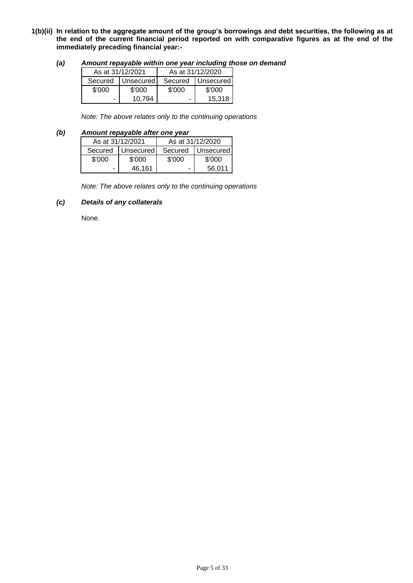- **1(b)(ii) In relation to the aggregate amount of the group's borrowings and debt securities, the following as at the end of the current financial period reported on with comparative figures as at the end of the immediately preceding financial year:-**
	- *(a) Amount repayable within one year including those on demand*

| As at 31/12/2021 |                     | As at 31/12/2020 |           |  |  |
|------------------|---------------------|------------------|-----------|--|--|
|                  | Secured   Unsecured | Secured          | Unsecured |  |  |
| \$'000           | \$'000              | \$'000           | \$'000    |  |  |
| -                | 10.794              |                  | 15.318    |  |  |

*Note: The above relates only to the continuing operations*

### *(b) Amount repayable after one year*

|        | As at 31/12/2021  | As at 31/12/2020 |                   |  |  |
|--------|-------------------|------------------|-------------------|--|--|
|        | Secured Unsecured |                  | Secured Unsecured |  |  |
| \$'000 | \$'000            | \$'000           | \$'000            |  |  |
|        | 46.161            | ۰                | 56.011            |  |  |

*Note: The above relates only to the continuing operations*

### *(c) Details of any collaterals*

None.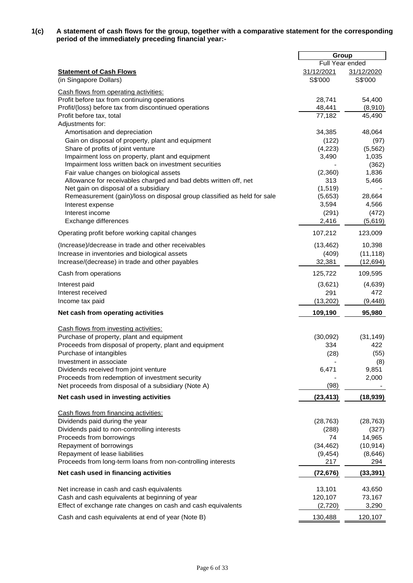**1(c) A statement of cash flows for the group, together with a comparative statement for the corresponding period of the immediately preceding financial year:-**

|                                                                                                        | Group            |                   |
|--------------------------------------------------------------------------------------------------------|------------------|-------------------|
|                                                                                                        | Full Year ended  |                   |
| <b>Statement of Cash Flows</b>                                                                         | 31/12/2021       | 31/12/2020        |
| (in Singapore Dollars)                                                                                 | S\$'000          | S\$'000           |
| Cash flows from operating activities:                                                                  |                  |                   |
| Profit before tax from continuing operations                                                           | 28,741           | 54,400            |
| Profit/(loss) before tax from discontinued operations                                                  | 48,441           | (8,910)           |
| Profit before tax, total                                                                               | 77,182           | 45,490            |
| Adjustments for:                                                                                       |                  |                   |
| Amortisation and depreciation                                                                          | 34,385           | 48,064            |
| Gain on disposal of property, plant and equipment                                                      | (122)            | (97)              |
| Share of profits of joint venture<br>Impairment loss on property, plant and equipment                  | (4,223)<br>3,490 | (5, 562)<br>1,035 |
| Impairment loss written back on investment securities                                                  |                  | (362)             |
| Fair value changes on biological assets                                                                | (2,360)          | 1,836             |
| Allowance for receivables charged and bad debts written off, net                                       | 313              | 5,466             |
| Net gain on disposal of a subsidiary                                                                   | (1, 519)         |                   |
| Remeasurement (gain)/loss on disposal group classified as held for sale                                | (5,653)          | 28,664            |
| Interest expense                                                                                       | 3,594            | 4,566             |
| Interest income                                                                                        | (291)            | (472)             |
| Exchange differences                                                                                   | 2,416            | (5,619)           |
| Operating profit before working capital changes                                                        | 107,212          | 123,009           |
| (Increase)/decrease in trade and other receivables                                                     | (13, 462)        | 10,398            |
| Increase in inventories and biological assets                                                          | (409)            | (11, 118)         |
| Increase/(decrease) in trade and other payables                                                        | 32,381           | (12, 694)         |
| Cash from operations                                                                                   | 125,722          | 109,595           |
| Interest paid                                                                                          | (3,621)          | (4,639)           |
| Interest received                                                                                      | 291              | 472               |
| Income tax paid                                                                                        | (13, 202)        | (9, 448)          |
| Net cash from operating activities                                                                     | 109,190          | 95,980            |
| Cash flows from investing activities:                                                                  |                  |                   |
| Purchase of property, plant and equipment                                                              | (30,092)         | (31, 149)         |
| Proceeds from disposal of property, plant and equipment                                                | 334              | 422               |
| Purchase of intangibles                                                                                | (28)             | (55)              |
| Investment in associate                                                                                |                  | (8)               |
| Dividends received from joint venture                                                                  | 6,471            | 9,851             |
| Proceeds from redemption of investment security<br>Net proceeds from disposal of a subsidiary (Note A) | (98)             | 2,000             |
|                                                                                                        |                  |                   |
| Net cash used in investing activities                                                                  | (23, 413)        | (18, 939)         |
| Cash flows from financing activities:                                                                  |                  |                   |
| Dividends paid during the year                                                                         | (28, 763)        | (28, 763)         |
| Dividends paid to non-controlling interests                                                            | (288)            | (327)             |
| Proceeds from borrowings                                                                               | 74               | 14,965            |
| Repayment of borrowings                                                                                | (34, 462)        | (10, 914)         |
| Repayment of lease liabilities<br>Proceeds from long-term loans from non-controlling interests         | (9, 454)<br>217  | (8,646)<br>294    |
| Net cash used in financing activities                                                                  | (72, 676)        |                   |
|                                                                                                        |                  | (33, 391)         |
| Net increase in cash and cash equivalents                                                              | 13,101           | 43,650            |
| Cash and cash equivalents at beginning of year                                                         | 120,107          | 73,167            |
| Effect of exchange rate changes on cash and cash equivalents                                           | (2,720)          | 3,290             |
| Cash and cash equivalents at end of year (Note B)                                                      | 130,488          | 120,107           |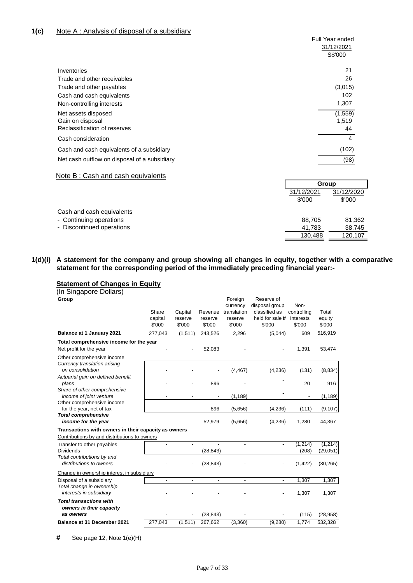| 31/12/2021<br>S\$'000<br>21<br>Inventories<br>26<br>Trade and other receivables<br>(3,015)<br>Trade and other payables<br>102<br>Cash and cash equivalents<br>1,307<br>Non-controlling interests<br>(1, 559)<br>Net assets disposed<br>Gain on disposal<br>1,519<br>Reclassification of reserves<br>44<br>Cash consideration<br>4<br>(102)<br>Cash and cash equivalents of a subsidiary<br>Net cash outflow on disposal of a subsidiary<br>(98)<br>Note B: Cash and cash equivalents<br>Group<br>31/12/2021 | <b>Full Year ended</b> |
|-------------------------------------------------------------------------------------------------------------------------------------------------------------------------------------------------------------------------------------------------------------------------------------------------------------------------------------------------------------------------------------------------------------------------------------------------------------------------------------------------------------|------------------------|
|                                                                                                                                                                                                                                                                                                                                                                                                                                                                                                             |                        |
|                                                                                                                                                                                                                                                                                                                                                                                                                                                                                                             |                        |
|                                                                                                                                                                                                                                                                                                                                                                                                                                                                                                             |                        |
|                                                                                                                                                                                                                                                                                                                                                                                                                                                                                                             |                        |
|                                                                                                                                                                                                                                                                                                                                                                                                                                                                                                             |                        |
|                                                                                                                                                                                                                                                                                                                                                                                                                                                                                                             |                        |
|                                                                                                                                                                                                                                                                                                                                                                                                                                                                                                             |                        |
|                                                                                                                                                                                                                                                                                                                                                                                                                                                                                                             |                        |
|                                                                                                                                                                                                                                                                                                                                                                                                                                                                                                             |                        |
|                                                                                                                                                                                                                                                                                                                                                                                                                                                                                                             |                        |
|                                                                                                                                                                                                                                                                                                                                                                                                                                                                                                             |                        |
|                                                                                                                                                                                                                                                                                                                                                                                                                                                                                                             |                        |
|                                                                                                                                                                                                                                                                                                                                                                                                                                                                                                             |                        |
|                                                                                                                                                                                                                                                                                                                                                                                                                                                                                                             |                        |
|                                                                                                                                                                                                                                                                                                                                                                                                                                                                                                             |                        |
|                                                                                                                                                                                                                                                                                                                                                                                                                                                                                                             | 31/12/2020             |

|                           | \$'000  | \$'000  |
|---------------------------|---------|---------|
| Cash and cash equivalents |         |         |
| - Continuing operations   | 88.705  | 81,362  |
| - Discontinued operations | 41.783  | 38.745  |
|                           | 130.488 | 120,107 |
|                           |         |         |

#### **1(d)(i) A statement for the company and group showing all changes in equity, together with a comparative statement for the corresponding period of the immediately preceding financial year:-**

### **Statement of Changes in Equity**

| (In Singapore Dollars) |  |
|------------------------|--|
| Group                  |  |

| Group                                                      |                            |                              |                              | Foreign<br>currency              | Reserve of<br>disposal group               | Non-                               |                           |
|------------------------------------------------------------|----------------------------|------------------------------|------------------------------|----------------------------------|--------------------------------------------|------------------------------------|---------------------------|
|                                                            | Share<br>capital<br>\$'000 | Capital<br>reserve<br>\$'000 | Revenue<br>reserve<br>\$'000 | translation<br>reserve<br>\$'000 | classified as<br>held for sale #<br>\$'000 | controlling<br>interests<br>\$'000 | Total<br>equity<br>\$'000 |
| Balance at 1 January 2021                                  | 277,043                    | (1,511)                      | 243,526                      | 2,296                            | (5,044)                                    | 609                                | 516,919                   |
| Total comprehensive income for the year                    |                            |                              |                              |                                  |                                            |                                    |                           |
| Net profit for the year                                    |                            |                              | 52,083                       |                                  |                                            | 1,391                              | 53,474                    |
| Other comprehensive income                                 |                            |                              |                              |                                  |                                            |                                    |                           |
| Currency translation arising<br>on consolidation           |                            |                              |                              | (4, 467)                         | (4,236)                                    | (131)                              | (8,834)                   |
| Actuarial gain on defined benefit<br>plans                 |                            |                              | 896                          |                                  |                                            | 20                                 | 916                       |
| Share of other comprehensive<br>income of joint venture    |                            |                              |                              | (1, 189)                         |                                            |                                    | (1, 189)                  |
| Other comprehensive income<br>for the year, net of tax     |                            |                              | 896                          | (5,656)                          | (4,236)                                    | (111)                              | (9, 107)                  |
| <b>Total comprehensive</b><br>income for the year          |                            |                              | 52,979                       | (5,656)                          | (4,236)                                    | 1,280                              | 44,367                    |
| Transactions with owners in their capacity as owners       |                            |                              |                              |                                  |                                            |                                    |                           |
| Contributions by and distributions to owners               |                            |                              |                              |                                  |                                            |                                    |                           |
| Transfer to other payables<br><b>Dividends</b>             |                            |                              | $\overline{a}$<br>(28, 843)  |                                  |                                            | (1, 214)<br>(208)                  | (1,214)<br>(29, 051)      |
| Total contributions by and<br>distributions to owners      |                            |                              | (28, 843)                    |                                  |                                            | (1, 422)                           | (30, 265)                 |
| Change in ownership interest in subsidiary                 |                            |                              |                              |                                  |                                            |                                    |                           |
| Disposal of a subsidiary                                   | $\overline{\phantom{a}}$   | $\overline{\phantom{a}}$     | $\overline{\phantom{a}}$     | $\overline{\phantom{a}}$         | $\overline{\phantom{0}}$                   | 1,307                              | 1,307                     |
| Total change in ownership<br>interests in subsidiary       |                            |                              |                              |                                  |                                            | 1,307                              | 1,307                     |
| <b>Total transactions with</b><br>owners in their capacity |                            |                              |                              |                                  |                                            |                                    |                           |
| as owners                                                  |                            |                              | (28, 843)                    |                                  |                                            | (115)                              | (28, 958)                 |
| Balance at 31 December 2021                                | 277,043                    | (1,511)                      | 267,662                      | (3,360)                          | (9,280)                                    | 1,774                              | 532,328                   |
|                                                            |                            |                              |                              |                                  |                                            |                                    |                           |

**#** See page 12, Note 1(e)(H)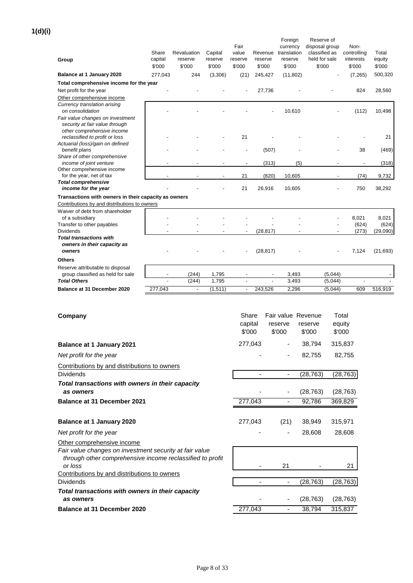**1(d)(i)**

| Group                                                                                          | Share<br>capital<br>\$'000 | Revaluation<br>reserve<br>\$'000  | Capital<br>reserve<br>\$'000 | Fair<br>value<br>reserve<br>\$'000 | Revenue<br>reserve<br>\$'000 | Foreign<br>currency<br>translation<br>reserve<br>\$'000 | Reserve of<br>disposal group<br>classified as<br>held for sale<br>\$'000 |                    | Non-<br>controlling<br>interests<br>\$'000 | Total<br>equity<br>\$'000 |
|------------------------------------------------------------------------------------------------|----------------------------|-----------------------------------|------------------------------|------------------------------------|------------------------------|---------------------------------------------------------|--------------------------------------------------------------------------|--------------------|--------------------------------------------|---------------------------|
| Balance at 1 January 2020                                                                      | 277,043                    | 244                               | (3,306)                      | (21)                               | 245,427                      | (11, 802)                                               |                                                                          |                    | (7,265)                                    | 500,320                   |
| Total comprehensive income for the year                                                        |                            |                                   |                              |                                    | 27,736                       |                                                         |                                                                          |                    | 824                                        | 28,560                    |
| Net profit for the year<br>Other comprehensive income                                          |                            |                                   |                              |                                    |                              |                                                         |                                                                          |                    |                                            |                           |
| Currency translation arising<br>on consolidation<br>Fair value changes on investment           |                            |                                   |                              |                                    |                              | 10,610                                                  |                                                                          |                    | (112)                                      | 10,498                    |
| security at fair value through<br>other comprehensive income<br>reclassified to profit or loss |                            |                                   |                              | 21                                 |                              |                                                         |                                                                          |                    |                                            | 21                        |
| Actuarial (loss)/gain on defined                                                               |                            |                                   |                              |                                    |                              |                                                         |                                                                          |                    |                                            |                           |
| benefit plans                                                                                  |                            |                                   |                              |                                    | (507)                        |                                                         |                                                                          |                    | 38                                         | (469)                     |
| Share of other comprehensive<br>income of joint venture                                        |                            |                                   |                              | $\overline{\phantom{a}}$           | (313)                        | (5)                                                     |                                                                          |                    |                                            | (318)                     |
| Other comprehensive income                                                                     |                            |                                   |                              |                                    |                              |                                                         |                                                                          |                    |                                            |                           |
| for the year, net of tax<br><b>Total comprehensive</b>                                         |                            |                                   |                              | 21                                 | (820)                        | 10,605                                                  |                                                                          |                    | (74)                                       | 9,732                     |
| income for the year                                                                            |                            |                                   |                              | 21                                 | 26,916                       | 10,605                                                  |                                                                          |                    | 750                                        | 38,292                    |
| Transactions with owners in their capacity as owners                                           |                            |                                   |                              |                                    |                              |                                                         |                                                                          |                    |                                            |                           |
| Contributions by and distributions to owners                                                   |                            |                                   |                              |                                    |                              |                                                         |                                                                          |                    |                                            |                           |
| Waiver of debt from shareholder<br>of a subsidiary                                             |                            |                                   |                              |                                    |                              |                                                         |                                                                          |                    | 8,021                                      | 8,021                     |
| Transfer to other payables                                                                     |                            |                                   |                              |                                    |                              |                                                         |                                                                          |                    | (624)                                      | (624)                     |
| <b>Dividends</b>                                                                               |                            |                                   |                              |                                    | (28, 817)                    |                                                         |                                                                          |                    | (273)                                      | (29,090)                  |
| <b>Total transactions with</b><br>owners in their capacity as<br>owners                        |                            |                                   |                              |                                    | (28, 817)                    |                                                         |                                                                          |                    | 7,124                                      | (21, 693)                 |
| <b>Others</b>                                                                                  |                            |                                   |                              |                                    |                              |                                                         |                                                                          |                    |                                            |                           |
| Reserve attributable to disposal                                                               |                            |                                   |                              |                                    |                              |                                                         |                                                                          |                    |                                            |                           |
| group classified as held for sale                                                              |                            | (244)                             | 1,795                        |                                    |                              | 3,493                                                   |                                                                          | (5,044)            |                                            |                           |
| <b>Total Others</b><br>Balance at 31 December 2020                                             | 277,043                    | (244)<br>$\overline{\phantom{a}}$ | 1,795<br>(1, 511)            | $\overline{a}$<br>$\blacksquare$   |                              | 3,493<br>2,296                                          |                                                                          | (5,044)<br>(5,044) | 609                                        | 516,919                   |
|                                                                                                |                            |                                   |                              |                                    | 243,526                      |                                                         |                                                                          |                    |                                            |                           |
|                                                                                                |                            |                                   |                              |                                    |                              |                                                         |                                                                          |                    |                                            |                           |
|                                                                                                |                            |                                   |                              | Share                              |                              | Fair value Revenue                                      |                                                                          | Total              |                                            |                           |
| Company                                                                                        |                            |                                   |                              | capital                            |                              | reserve                                                 | reserve                                                                  | equity             |                                            |                           |
|                                                                                                |                            |                                   |                              | \$'000                             |                              | \$'000                                                  | \$'000                                                                   | \$'000             |                                            |                           |
|                                                                                                |                            |                                   |                              |                                    |                              |                                                         |                                                                          |                    |                                            |                           |
| <b>Balance at 1 January 2021</b>                                                               |                            |                                   |                              | 277,043                            |                              |                                                         | 38,794                                                                   |                    | 315,837                                    |                           |
| Net profit for the year                                                                        |                            |                                   |                              |                                    |                              |                                                         | 82,755                                                                   |                    | 82,755                                     |                           |
| Contributions by and distributions to owners<br><b>Dividends</b>                               |                            |                                   |                              |                                    |                              |                                                         | (28, 763)                                                                |                    | (28, 763)                                  |                           |
| Total transactions with owners in their capacity                                               |                            |                                   |                              |                                    |                              |                                                         |                                                                          |                    |                                            |                           |
| as owners                                                                                      |                            |                                   |                              |                                    |                              |                                                         | (28, 763)                                                                |                    | (28, 763)                                  |                           |
| <b>Balance at 31 December 2021</b>                                                             |                            |                                   |                              | 277,043                            |                              |                                                         | 92,786                                                                   |                    | 369,829                                    |                           |
|                                                                                                |                            |                                   |                              |                                    |                              |                                                         |                                                                          |                    |                                            |                           |
| <b>Balance at 1 January 2020</b>                                                               |                            |                                   |                              | 277,043                            |                              | (21)                                                    | 38,949                                                                   | 315,971            |                                            |                           |
| Net profit for the year                                                                        |                            |                                   |                              |                                    |                              | $\overline{\phantom{a}}$                                | 28,608                                                                   |                    | 28,608                                     |                           |
| Other comprehensive income                                                                     |                            |                                   |                              |                                    |                              |                                                         |                                                                          |                    |                                            |                           |
| Fair value changes on investment security at fair value                                        |                            |                                   |                              |                                    |                              |                                                         |                                                                          |                    |                                            |                           |
| through other comprehensive income reclassified to profit<br>or loss                           |                            |                                   |                              |                                    |                              | 21                                                      |                                                                          |                    | 21                                         |                           |
| Contributions by and distributions to owners                                                   |                            |                                   |                              |                                    |                              |                                                         |                                                                          |                    |                                            |                           |
| <b>Dividends</b>                                                                               |                            |                                   |                              |                                    |                              | $\overline{\phantom{a}}$                                | (28, 763)                                                                |                    | (28, 763)                                  |                           |

**Balance at 31 December 2020** 277,043 - 38,794 315,837 *Total transactions with owners in their capacity as owners*

Page 8 of 33

- - (28,763) (28,763)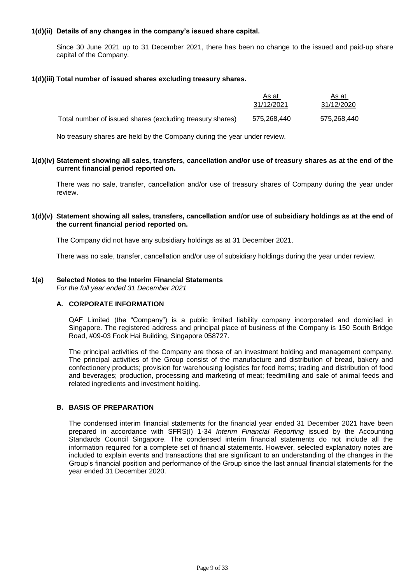### **1(d)(ii) Details of any changes in the company's issued share capital.**

Since 30 June 2021 up to 31 December 2021, there has been no change to the issued and paid-up share capital of the Company.

#### **1(d)(iii) Total number of issued shares excluding treasury shares.**

|                                                           | As at       | As at       |
|-----------------------------------------------------------|-------------|-------------|
|                                                           | 31/12/2021  | 31/12/2020  |
| Total number of issued shares (excluding treasury shares) | 575.268.440 | 575.268.440 |

No treasury shares are held by the Company during the year under review.

#### **1(d)(iv) Statement showing all sales, transfers, cancellation and/or use of treasury shares as at the end of the current financial period reported on.**

There was no sale, transfer, cancellation and/or use of treasury shares of Company during the year under review.

### **1(d)(v) Statement showing all sales, transfers, cancellation and/or use of subsidiary holdings as at the end of the current financial period reported on.**

The Company did not have any subsidiary holdings as at 31 December 2021.

There was no sale, transfer, cancellation and/or use of subsidiary holdings during the year under review.

# **1(e) Selected Notes to the Interim Financial Statements**

*For the full year ended 31 December 2021*

### **A. CORPORATE INFORMATION**

QAF Limited (the "Company") is a public limited liability company incorporated and domiciled in Singapore. The registered address and principal place of business of the Company is 150 South Bridge Road, #09-03 Fook Hai Building, Singapore 058727.

The principal activities of the Company are those of an investment holding and management company. The principal activities of the Group consist of the manufacture and distribution of bread, bakery and confectionery products; provision for warehousing logistics for food items; trading and distribution of food and beverages; production, processing and marketing of meat; feedmilling and sale of animal feeds and related ingredients and investment holding.

### **B. BASIS OF PREPARATION**

The condensed interim financial statements for the financial year ended 31 December 2021 have been prepared in accordance with SFRS(I) 1-34 *Interim Financial Reporting* issued by the Accounting Standards Council Singapore. The condensed interim financial statements do not include all the information required for a complete set of financial statements. However, selected explanatory notes are included to explain events and transactions that are significant to an understanding of the changes in the Group's financial position and performance of the Group since the last annual financial statements for the year ended 31 December 2020.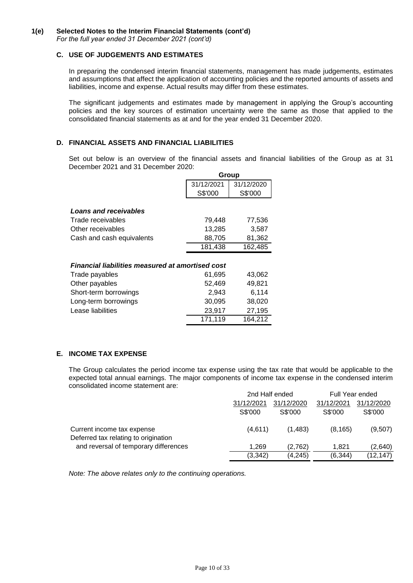### **C. USE OF JUDGEMENTS AND ESTIMATES**

In preparing the condensed interim financial statements, management has made judgements, estimates and assumptions that affect the application of accounting policies and the reported amounts of assets and liabilities, income and expense. Actual results may differ from these estimates.

The significant judgements and estimates made by management in applying the Group's accounting policies and the key sources of estimation uncertainty were the same as those that applied to the consolidated financial statements as at and for the year ended 31 December 2020.

### **D. FINANCIAL ASSETS AND FINANCIAL LIABILITIES**

Set out below is an overview of the financial assets and financial liabilities of the Group as at 31 December 2021 and 31 December 2020: **Group**

|                                                         | שוטוט      |            |  |  |
|---------------------------------------------------------|------------|------------|--|--|
|                                                         | 31/12/2021 | 31/12/2020 |  |  |
|                                                         | S\$'000    | S\$'000    |  |  |
| <b>Loans and receivables</b>                            |            |            |  |  |
| Trade receivables                                       | 79,448     | 77,536     |  |  |
| Other receivables                                       | 13,285     | 3,587      |  |  |
| Cash and cash equivalents                               | 88,705     | 81,362     |  |  |
|                                                         | 181,438    | 162,485    |  |  |
|                                                         |            |            |  |  |
| <b>Financial liabilities measured at amortised cost</b> |            |            |  |  |
| Trade payables                                          | 61,695     | 43,062     |  |  |
| Other payables                                          | 52,469     | 49,821     |  |  |
| Short-term borrowings                                   | 2,943      | 6,114      |  |  |
| Long-term borrowings                                    | 30,095     | 38,020     |  |  |
| Lease liabilities                                       | 23,917     | 27,195     |  |  |
|                                                         | 171,119    | 164,212    |  |  |

### **E. INCOME TAX EXPENSE**

The Group calculates the period income tax expense using the tax rate that would be applicable to the expected total annual earnings. The major components of income tax expense in the condensed interim consolidated income statement are:

|                                                                               | 2nd Half ended |            | Full Year ended |            |
|-------------------------------------------------------------------------------|----------------|------------|-----------------|------------|
|                                                                               | 31/12/2021     | 31/12/2020 |                 | 31/12/2020 |
|                                                                               | S\$'000        | S\$'000    | S\$'000         | S\$'000    |
| Current income tax expense                                                    | (4,611)        | (1,483)    | (8, 165)        | (9,507)    |
| Deferred tax relating to origination<br>and reversal of temporary differences | 1.269          | (2,762)    | 1.821           | (2,640)    |
|                                                                               | (3,342)        | (4,245)    | (6, 344)        | (12, 147)  |

*Note: The above relates only to the continuing operations.*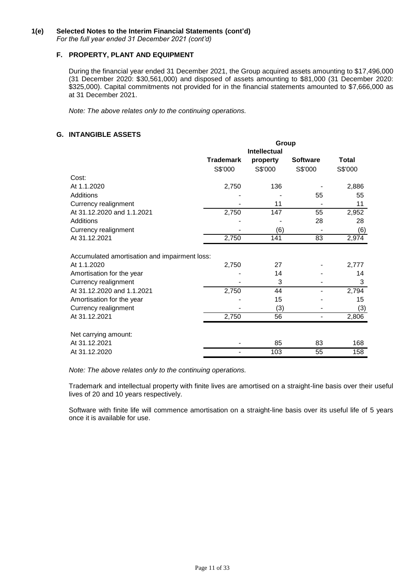# **F. PROPERTY, PLANT AND EQUIPMENT**

During the financial year ended 31 December 2021, the Group acquired assets amounting to \$17,496,000 (31 December 2020: \$30,561,000) and disposed of assets amounting to \$81,000 (31 December 2020: \$325,000). Capital commitments not provided for in the financial statements amounted to \$7,666,000 as at 31 December 2021.

*Note: The above relates only to the continuing operations.*

# **G. INTANGIBLE ASSETS**

|                                               | Group            |                     |                 |              |
|-----------------------------------------------|------------------|---------------------|-----------------|--------------|
|                                               |                  | <b>Intellectual</b> |                 |              |
|                                               | <b>Trademark</b> | property            | <b>Software</b> | <b>Total</b> |
|                                               | S\$'000          | S\$'000             | S\$'000         | S\$'000      |
| Cost:                                         |                  |                     |                 |              |
| At 1.1.2020                                   | 2,750            | 136                 |                 | 2,886        |
| Additions                                     |                  |                     | 55              | 55           |
| Currency realignment                          |                  | 11                  |                 | 11           |
| At 31.12.2020 and 1.1.2021                    | 2,750            | 147                 | 55              | 2,952        |
| Additions                                     |                  |                     | 28              | 28           |
| Currency realignment                          |                  | (6)                 |                 | (6)          |
| At 31.12.2021                                 | 2,750            | 141                 | 83              | 2,974        |
| Accumulated amortisation and impairment loss: |                  |                     |                 |              |
| At 1.1.2020                                   | 2,750            | 27                  |                 | 2,777        |
| Amortisation for the year                     |                  | 14                  |                 | 14           |
| Currency realignment                          |                  | 3                   |                 | 3            |
| At 31.12.2020 and 1.1.2021                    | 2,750            | 44                  |                 | 2,794        |
| Amortisation for the year                     |                  | 15                  |                 | 15           |
| Currency realignment                          |                  | (3)                 |                 | (3)          |
| At 31.12.2021                                 | 2,750            | 56                  |                 | 2,806        |
| Net carrying amount:                          |                  |                     |                 |              |
| At 31.12.2021                                 |                  | 85                  | 83              | 168          |
| At 31.12.2020                                 |                  | 103                 | 55              | 158          |

*Note: The above relates only to the continuing operations.*

Trademark and intellectual property with finite lives are amortised on a straight-line basis over their useful lives of 20 and 10 years respectively.

Software with finite life will commence amortisation on a straight-line basis over its useful life of 5 years once it is available for use.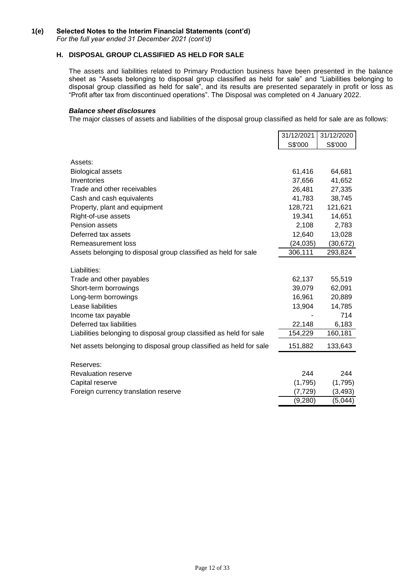### **1(e) Selected Notes to the Interim Financial Statements (cont'd)** *For the full year ended 31 December 2021 (cont'd)*

### **H. DISPOSAL GROUP CLASSIFIED AS HELD FOR SALE**

The assets and liabilities related to Primary Production business have been presented in the balance sheet as "Assets belonging to disposal group classified as held for sale" and "Liabilities belonging to disposal group classified as held for sale", and its results are presented separately in profit or loss as "Profit after tax from discontinued operations". The Disposal was completed on 4 January 2022.

#### *Balance sheet disclosures*

The major classes of assets and liabilities of the disposal group classified as held for sale are as follows:

|                                                                     | 31/12/2021 | 31/12/2020 |
|---------------------------------------------------------------------|------------|------------|
|                                                                     | S\$'000    | S\$'000    |
| Assets:                                                             |            |            |
| <b>Biological assets</b>                                            | 61,416     | 64,681     |
| Inventories                                                         | 37,656     | 41,652     |
| Trade and other receivables                                         | 26,481     | 27,335     |
| Cash and cash equivalents                                           | 41,783     | 38,745     |
| Property, plant and equipment                                       | 128,721    | 121,621    |
| Right-of-use assets                                                 | 19,341     | 14,651     |
| Pension assets                                                      | 2,108      | 2,783      |
| Deferred tax assets                                                 | 12,640     | 13,028     |
| Remeasurement loss                                                  | (24, 035)  | (30, 672)  |
| Assets belonging to disposal group classified as held for sale      | 306,111    | 293,824    |
|                                                                     |            |            |
| Liabilities:                                                        |            |            |
| Trade and other payables                                            | 62,137     | 55,519     |
| Short-term borrowings                                               | 39,079     | 62,091     |
| Long-term borrowings                                                | 16,961     | 20,889     |
| Lease liabilities                                                   | 13,904     | 14,785     |
| Income tax payable                                                  |            | 714        |
| Deferred tax liabilities                                            | 22,148     | 6,183      |
| Liabilities belonging to disposal group classified as held for sale | 154,229    | 160,181    |
| Net assets belonging to disposal group classified as held for sale  | 151,882    | 133,643    |
| Reserves:                                                           |            |            |
| <b>Revaluation reserve</b>                                          | 244        | 244        |
| Capital reserve                                                     | (1,795)    | (1,795)    |
| Foreign currency translation reserve                                | (7, 729)   | (3, 493)   |
|                                                                     | (9, 280)   | (5,044)    |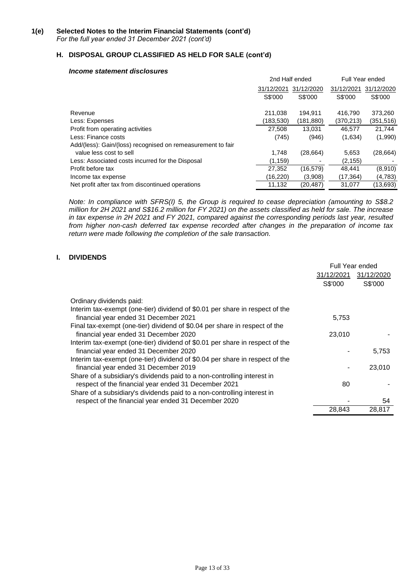# **H. DISPOSAL GROUP CLASSIFIED AS HELD FOR SALE (cont'd)**

#### *Income statement disclosures*

|                                                             | 2nd Half ended |            |            | Full Year ended |  |
|-------------------------------------------------------------|----------------|------------|------------|-----------------|--|
|                                                             | 31/12/2021     | 31/12/2020 | 31/12/202' | 31/12/2020      |  |
|                                                             | S\$'000        | S\$'000    | S\$'000    | S\$'000         |  |
| Revenue                                                     | 211,038        | 194.911    | 416.790    | 373,260         |  |
| Less: Expenses                                              | (183,530)      | (181, 880) | (370, 213) | (351,516)       |  |
| Profit from operating activities                            | 27,508         | 13,031     | 46,577     | 21,744          |  |
| Less: Finance costs                                         | (745)          | (946)      | (1,634)    | (1,990)         |  |
| Add/(less): Gain/(loss) recognised on remeasurement to fair |                |            |            |                 |  |
| value less cost to sell                                     | 1.748          | (28, 664)  | 5.653      | (28, 664)       |  |
| Less: Associated costs incurred for the Disposal            | (1, 159)       |            | (2, 155)   |                 |  |
| Profit before tax                                           | 27,352         | (16, 579)  | 48,441     | (8,910)         |  |
| Income tax expense                                          | (16,220)       | (3,908)    | (17, 364)  | (4,783)         |  |
| Net profit after tax from discontinued operations           | 11.132         | (20, 487)  | 31.077     | (13,693)        |  |

*Note: In compliance with SFRS(I) 5, the Group is required to cease depreciation (amounting to S\$8.2 million for 2H 2021 and S\$16.2 million for FY 2021) on the assets classified as held for sale. The increase in tax expense in 2H 2021 and FY 2021, compared against the corresponding periods last year, resulted from higher non-cash deferred tax expense recorded after changes in the preparation of income tax return were made following the completion of the sale transaction.*

### **I. DIVIDENDS**

|                                                                                                                                                   |         | Full Year ended       |
|---------------------------------------------------------------------------------------------------------------------------------------------------|---------|-----------------------|
|                                                                                                                                                   |         | 31/12/2021 31/12/2020 |
|                                                                                                                                                   | S\$'000 | S\$'000               |
| Ordinary dividends paid:<br>Interim tax-exempt (one-tier) dividend of \$0.01 per share in respect of the<br>financial year ended 31 December 2021 | 5,753   |                       |
| Final tax-exempt (one-tier) dividend of \$0.04 per share in respect of the<br>financial year ended 31 December 2020                               | 23,010  |                       |
| Interim tax-exempt (one-tier) dividend of \$0.01 per share in respect of the<br>financial year ended 31 December 2020                             |         | 5,753                 |
| Interim tax-exempt (one-tier) dividend of \$0.04 per share in respect of the                                                                      |         |                       |
| financial year ended 31 December 2019<br>Share of a subsidiary's dividends paid to a non-controlling interest in                                  | -       | 23,010                |
| respect of the financial year ended 31 December 2021<br>Share of a subsidiary's dividends paid to a non-controlling interest in                   | 80      |                       |
| respect of the financial year ended 31 December 2020                                                                                              |         | 54                    |
|                                                                                                                                                   | 28,843  | 28,817                |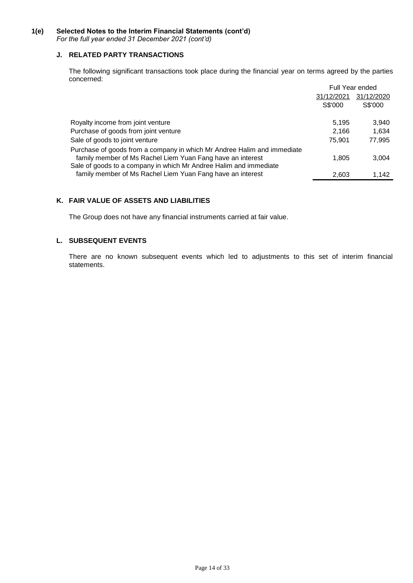### **1(e) Selected Notes to the Interim Financial Statements (cont'd)** *For the full year ended 31 December 2021 (cont'd)*

### **J. RELATED PARTY TRANSACTIONS**

The following significant transactions took place during the financial year on terms agreed by the parties concerned:

|                                                                                                                                 |            | <b>Full Year ended</b> |
|---------------------------------------------------------------------------------------------------------------------------------|------------|------------------------|
|                                                                                                                                 | 31/12/2021 | 31/12/2020             |
|                                                                                                                                 | S\$'000    | S\$'000                |
| Royalty income from joint venture                                                                                               | 5,195      | 3,940                  |
| Purchase of goods from joint venture                                                                                            | 2.166      | 1,634                  |
| Sale of goods to joint venture                                                                                                  | 75,901     | 77,995                 |
| Purchase of goods from a company in which Mr Andree Halim and immediate                                                         |            |                        |
| family member of Ms Rachel Liem Yuan Fang have an interest<br>Sale of goods to a company in which Mr Andree Halim and immediate | 1,805      | 3,004                  |
| family member of Ms Rachel Liem Yuan Fang have an interest                                                                      | 2,603      | 1.142                  |

## **K. FAIR VALUE OF ASSETS AND LIABILITIES**

The Group does not have any financial instruments carried at fair value.

# **L. SUBSEQUENT EVENTS**

There are no known subsequent events which led to adjustments to this set of interim financial statements.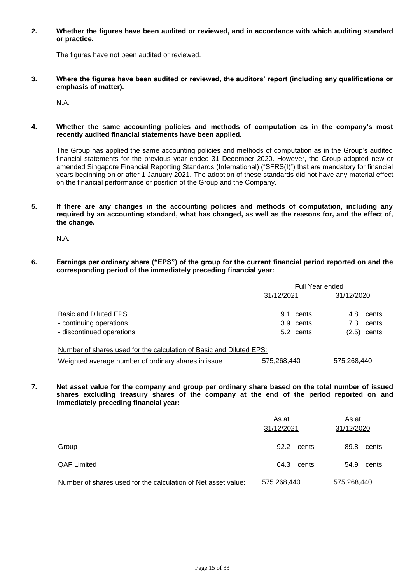**2. Whether the figures have been audited or reviewed, and in accordance with which auditing standard or practice.**

The figures have not been audited or reviewed.

**3. Where the figures have been audited or reviewed, the auditors' report (including any qualifications or emphasis of matter).**

N.A.

**4. Whether the same accounting policies and methods of computation as in the company's most recently audited financial statements have been applied.**

The Group has applied the same accounting policies and methods of computation as in the Group's audited financial statements for the previous year ended 31 December 2020. However, the Group adopted new or amended Singapore Financial Reporting Standards (International) ("SFRS(I)") that are mandatory for financial years beginning on or after 1 January 2021. The adoption of these standards did not have any material effect on the financial performance or position of the Group and the Company.

**5. If there are any changes in the accounting policies and methods of computation, including any required by an accounting standard, what has changed, as well as the reasons for, and the effect of, the change.**

N.A.

**6. Earnings per ordinary share ("EPS") of the group for the current financial period reported on and the corresponding period of the immediately preceding financial year:**

|                                                                     | <b>Full Year ended</b> |                |  |
|---------------------------------------------------------------------|------------------------|----------------|--|
|                                                                     | 31/12/2021             | 31/12/2020     |  |
| <b>Basic and Diluted EPS</b>                                        | 9.1<br>cents           | cents<br>4.8   |  |
| - continuing operations                                             | 3.9 cents              | cents<br>7.3   |  |
| - discontinued operations                                           | 5.2 cents              | cents<br>(2.5) |  |
| Number of shares used for the calculation of Basic and Diluted EPS: |                        |                |  |
| Weighted average number of ordinary shares in issue                 | 575,268,440            | 575,268,440    |  |

- **7. Net asset value for the company and group per ordinary share based on the total number of issued shares excluding treasury shares of the company at the end of the period reported on and** 
	- **immediately preceding financial year:**

|                                                               | As at<br>31/12/2021 | As at<br>31/12/2020 |  |
|---------------------------------------------------------------|---------------------|---------------------|--|
| Group                                                         | 92.2<br>cents       | 89.8<br>cents       |  |
| <b>QAF Limited</b>                                            | 64.3<br>cents       | 54.9<br>cents       |  |
| Number of shares used for the calculation of Net asset value: | 575,268,440         | 575,268,440         |  |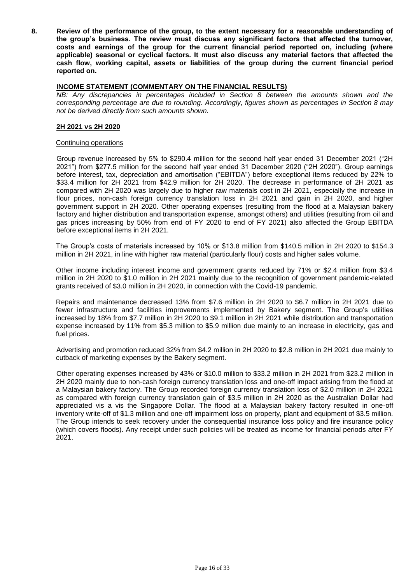**8. Review of the performance of the group, to the extent necessary for a reasonable understanding of the group's business. The review must discuss any significant factors that affected the turnover, costs and earnings of the group for the current financial period reported on, including (where applicable) seasonal or cyclical factors. It must also discuss any material factors that affected the cash flow, working capital, assets or liabilities of the group during the current financial period reported on.**

#### **INCOME STATEMENT (COMMENTARY ON THE FINANCIAL RESULTS)**

*NB: Any discrepancies in percentages included in Section 8 between the amounts shown and the corresponding percentage are due to rounding. Accordingly, figures shown as percentages in Section 8 may not be derived directly from such amounts shown.*

#### **2H 2021 vs 2H 2020**

#### Continuing operations

Group revenue increased by 5% to \$290.4 million for the second half year ended 31 December 2021 ("2H 2021") from \$277.5 million for the second half year ended 31 December 2020 ("2H 2020"). Group earnings before interest, tax, depreciation and amortisation ("EBITDA") before exceptional items reduced by 22% to \$33.4 million for 2H 2021 from \$42.9 million for 2H 2020. The decrease in performance of 2H 2021 as compared with 2H 2020 was largely due to higher raw materials cost in 2H 2021, especially the increase in flour prices, non-cash foreign currency translation loss in 2H 2021 and gain in 2H 2020, and higher government support in 2H 2020. Other operating expenses (resulting from the flood at a Malaysian bakery factory and higher distribution and transportation expense, amongst others) and utilities (resulting from oil and gas prices increasing by 50% from end of FY 2020 to end of FY 2021) also affected the Group EBITDA before exceptional items in 2H 2021.

The Group's costs of materials increased by 10% or \$13.8 million from \$140.5 million in 2H 2020 to \$154.3 million in 2H 2021, in line with higher raw material (particularly flour) costs and higher sales volume.

Other income including interest income and government grants reduced by 71% or \$2.4 million from \$3.4 million in 2H 2020 to \$1.0 million in 2H 2021 mainly due to the recognition of government pandemic-related grants received of \$3.0 million in 2H 2020, in connection with the Covid-19 pandemic.

Repairs and maintenance decreased 13% from \$7.6 million in 2H 2020 to \$6.7 million in 2H 2021 due to fewer infrastructure and facilities improvements implemented by Bakery segment. The Group's utilities increased by 18% from \$7.7 million in 2H 2020 to \$9.1 million in 2H 2021 while distribution and transportation expense increased by 11% from \$5.3 million to \$5.9 million due mainly to an increase in electricity, gas and fuel prices.

Advertising and promotion reduced 32% from \$4.2 million in 2H 2020 to \$2.8 million in 2H 2021 due mainly to cutback of marketing expenses by the Bakery segment.

Other operating expenses increased by 43% or \$10.0 million to \$33.2 million in 2H 2021 from \$23.2 million in 2H 2020 mainly due to non-cash foreign currency translation loss and one-off impact arising from the flood at a Malaysian bakery factory. The Group recorded foreign currency translation loss of \$2.0 million in 2H 2021 as compared with foreign currency translation gain of \$3.5 million in 2H 2020 as the Australian Dollar had appreciated vis a vis the Singapore Dollar. The flood at a Malaysian bakery factory resulted in one-off inventory write-off of \$1.3 million and one-off impairment loss on property, plant and equipment of \$3.5 million. The Group intends to seek recovery under the consequential insurance loss policy and fire insurance policy (which covers floods). Any receipt under such policies will be treated as income for financial periods after FY 2021.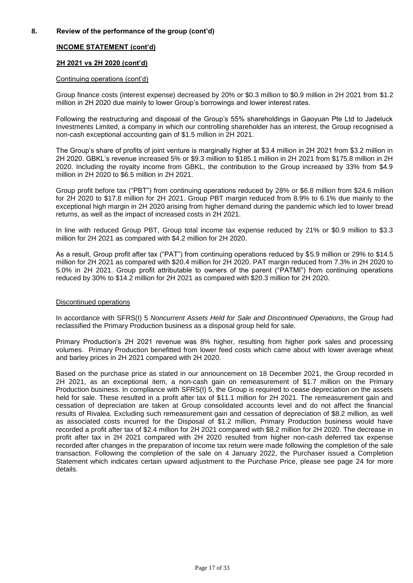# **INCOME STATEMENT (cont'd)**

### **2H 2021 vs 2H 2020 (cont'd)**

#### Continuing operations (cont'd)

Group finance costs (interest expense) decreased by 20% or \$0.3 million to \$0.9 million in 2H 2021 from \$1.2 million in 2H 2020 due mainly to lower Group's borrowings and lower interest rates.

Following the restructuring and disposal of the Group's 55% shareholdings in Gaoyuan Pte Ltd to Jadeluck Investments Limited, a company in which our controlling shareholder has an interest, the Group recognised a non-cash exceptional accounting gain of \$1.5 million in 2H 2021.

The Group's share of profits of joint venture is marginally higher at \$3.4 million in 2H 2021 from \$3.2 million in 2H 2020. GBKL's revenue increased 5% or \$9.3 million to \$185.1 million in 2H 2021 from \$175.8 million in 2H 2020. Including the royalty income from GBKL, the contribution to the Group increased by 33% from \$4.9 million in 2H 2020 to \$6.5 million in 2H 2021.

Group profit before tax ("PBT") from continuing operations reduced by 28% or \$6.8 million from \$24.6 million for 2H 2020 to \$17.8 million for 2H 2021. Group PBT margin reduced from 8.9% to 6.1% due mainly to the exceptional high margin in 2H 2020 arising from higher demand during the pandemic which led to lower bread returns, as well as the impact of increased costs in 2H 2021.

In line with reduced Group PBT, Group total income tax expense reduced by 21% or \$0.9 million to \$3.3 million for 2H 2021 as compared with \$4.2 million for 2H 2020.

As a result, Group profit after tax ("PAT") from continuing operations reduced by \$5.9 million or 29% to \$14.5 million for 2H 2021 as compared with \$20.4 million for 2H 2020. PAT margin reduced from 7.3% in 2H 2020 to 5.0% in 2H 2021. Group profit attributable to owners of the parent ("PATMI") from continuing operations reduced by 30% to \$14.2 million for 2H 2021 as compared with \$20.3 million for 2H 2020.

#### Discontinued operations

In accordance with SFRS(I) 5 *Noncurrent Assets Held for Sale and Discontinued Operations*, the Group had reclassified the Primary Production business as a disposal group held for sale.

Primary Production's 2H 2021 revenue was 8% higher, resulting from higher pork sales and processing volumes. Primary Production benefitted from lower feed costs which came about with lower average wheat and barley prices in 2H 2021 compared with 2H 2020.

Based on the purchase price as stated in our announcement on 18 December 2021, the Group recorded in 2H 2021, as an exceptional item, a non-cash gain on remeasurement of \$1.7 million on the Primary Production business. In compliance with SFRS(I) 5, the Group is required to cease depreciation on the assets held for sale. These resulted in a profit after tax of \$11.1 million for 2H 2021. The remeasurement gain and cessation of depreciation are taken at Group consolidated accounts level and do not affect the financial results of Rivalea. Excluding such remeasurement gain and cessation of depreciation of \$8.2 million, as well as associated costs incurred for the Disposal of \$1.2 million, Primary Production business would have recorded a profit after tax of \$2.4 million for 2H 2021 compared with \$8.2 million for 2H 2020. The decrease in profit after tax in 2H 2021 compared with 2H 2020 resulted from higher non-cash deferred tax expense recorded after changes in the preparation of income tax return were made following the completion of the sale transaction. Following the completion of the sale on 4 January 2022, the Purchaser issued a Completion Statement which indicates certain upward adjustment to the Purchase Price, please see page 24 for more details.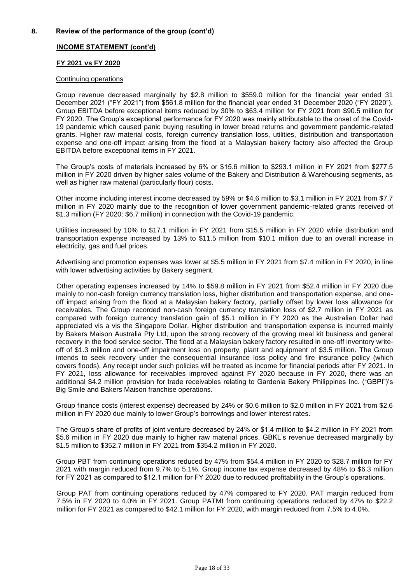### **INCOME STATEMENT (cont'd)**

### **FY 2021 vs FY 2020**

#### Continuing operations

Group revenue decreased marginally by \$2.8 million to \$559.0 million for the financial year ended 31 December 2021 ("FY 2021") from \$561.8 million for the financial year ended 31 December 2020 ("FY 2020"). Group EBITDA before exceptional items reduced by 30% to \$63.4 million for FY 2021 from \$90.5 million for FY 2020. The Group's exceptional performance for FY 2020 was mainly attributable to the onset of the Covid-19 pandemic which caused panic buying resulting in lower bread returns and government pandemic-related grants. Higher raw material costs, foreign currency translation loss, utilities, distribution and transportation expense and one-off impact arising from the flood at a Malaysian bakery factory also affected the Group EBITDA before exceptional items in FY 2021.

The Group's costs of materials increased by 6% or \$15.6 million to \$293.1 million in FY 2021 from \$277.5 million in FY 2020 driven by higher sales volume of the Bakery and Distribution & Warehousing segments, as well as higher raw material (particularly flour) costs.

Other income including interest income decreased by 59% or \$4.6 million to \$3.1 million in FY 2021 from \$7.7 million in FY 2020 mainly due to the recognition of lower government pandemic-related grants received of \$1.3 million (FY 2020: \$6.7 million) in connection with the Covid-19 pandemic.

Utilities increased by 10% to \$17.1 million in FY 2021 from \$15.5 million in FY 2020 while distribution and transportation expense increased by 13% to \$11.5 million from \$10.1 million due to an overall increase in electricity, gas and fuel prices.

Advertising and promotion expenses was lower at \$5.5 million in FY 2021 from \$7.4 million in FY 2020, in line with lower advertising activities by Bakery segment.

Other operating expenses increased by 14% to \$59.8 million in FY 2021 from \$52.4 million in FY 2020 due mainly to non-cash foreign currency translation loss, higher distribution and transportation expense, and oneoff impact arising from the flood at a Malaysian bakery factory, partially offset by lower loss allowance for receivables. The Group recorded non-cash foreign currency translation loss of \$2.7 million in FY 2021 as compared with foreign currency translation gain of \$5.1 million in FY 2020 as the Australian Dollar had appreciated vis a vis the Singapore Dollar. Higher distribution and transportation expense is incurred mainly by Bakers Maison Australia Pty Ltd, upon the strong recovery of the growing meal kit business and general recovery in the food service sector. The flood at a Malaysian bakery factory resulted in one-off inventory writeoff of \$1.3 million and one-off impairment loss on property, plant and equipment of \$3.5 million. The Group intends to seek recovery under the consequential insurance loss policy and fire insurance policy (which covers floods). Any receipt under such policies will be treated as income for financial periods after FY 2021. In FY 2021, loss allowance for receivables improved against FY 2020 because in FY 2020, there was an additional \$4.2 million provision for trade receivables relating to Gardenia Bakery Philippines Inc. ("GBPI")'s Big Smile and Bakers Maison franchise operations.

Group finance costs (interest expense) decreased by 24% or \$0.6 million to \$2.0 million in FY 2021 from \$2.6 million in FY 2020 due mainly to lower Group's borrowings and lower interest rates.

The Group's share of profits of joint venture decreased by 24% or \$1.4 million to \$4.2 million in FY 2021 from \$5.6 million in FY 2020 due mainly to higher raw material prices. GBKL's revenue decreased marginally by \$1.5 million to \$352.7 million in FY 2021 from \$354.2 million in FY 2020.

Group PBT from continuing operations reduced by 47% from \$54.4 million in FY 2020 to \$28.7 million for FY 2021 with margin reduced from 9.7% to 5.1%. Group income tax expense decreased by 48% to \$6.3 million for FY 2021 as compared to \$12.1 million for FY 2020 due to reduced profitability in the Group's operations.

Group PAT from continuing operations reduced by 47% compared to FY 2020. PAT margin reduced from 7.5% in FY 2020 to 4.0% in FY 2021. Group PATMI from continuing operations reduced by 47% to \$22.2 million for FY 2021 as compared to \$42.1 million for FY 2020, with margin reduced from 7.5% to 4.0%.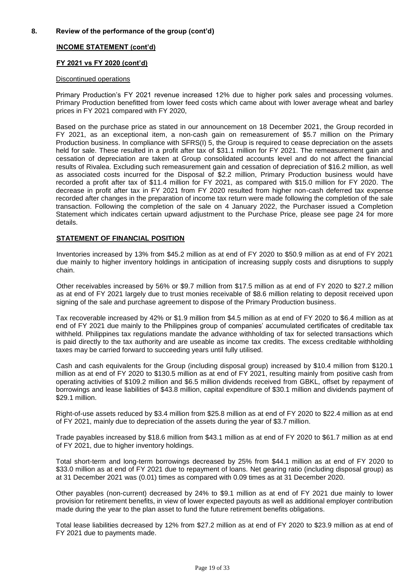### **INCOME STATEMENT (cont'd)**

#### **FY 2021 vs FY 2020 (cont'd)**

#### Discontinued operations

Primary Production's FY 2021 revenue increased 12% due to higher pork sales and processing volumes. Primary Production benefitted from lower feed costs which came about with lower average wheat and barley prices in FY 2021 compared with FY 2020,

Based on the purchase price as stated in our announcement on 18 December 2021, the Group recorded in FY 2021, as an exceptional item, a non-cash gain on remeasurement of \$5.7 million on the Primary Production business. In compliance with SFRS(I) 5, the Group is required to cease depreciation on the assets held for sale. These resulted in a profit after tax of \$31.1 million for FY 2021. The remeasurement gain and cessation of depreciation are taken at Group consolidated accounts level and do not affect the financial results of Rivalea. Excluding such remeasurement gain and cessation of depreciation of \$16.2 million, as well as associated costs incurred for the Disposal of \$2.2 million, Primary Production business would have recorded a profit after tax of \$11.4 million for FY 2021, as compared with \$15.0 million for FY 2020. The decrease in profit after tax in FY 2021 from FY 2020 resulted from higher non-cash deferred tax expense recorded after changes in the preparation of income tax return were made following the completion of the sale transaction. Following the completion of the sale on 4 January 2022, the Purchaser issued a Completion Statement which indicates certain upward adjustment to the Purchase Price, please see page 24 for more details.

### **STATEMENT OF FINANCIAL POSITION**

Inventories increased by 13% from \$45.2 million as at end of FY 2020 to \$50.9 million as at end of FY 2021 due mainly to higher inventory holdings in anticipation of increasing supply costs and disruptions to supply chain.

Other receivables increased by 56% or \$9.7 million from \$17.5 million as at end of FY 2020 to \$27.2 million as at end of FY 2021 largely due to trust monies receivable of \$8.6 million relating to deposit received upon signing of the sale and purchase agreement to dispose of the Primary Production business.

Tax recoverable increased by 42% or \$1.9 million from \$4.5 million as at end of FY 2020 to \$6.4 million as at end of FY 2021 due mainly to the Philippines group of companies' accumulated certificates of creditable tax withheld. Philippines tax regulations mandate the advance withholding of tax for selected transactions which is paid directly to the tax authority and are useable as income tax credits. The excess creditable withholding taxes may be carried forward to succeeding years until fully utilised.

Cash and cash equivalents for the Group (including disposal group) increased by \$10.4 million from \$120.1 million as at end of FY 2020 to \$130.5 million as at end of FY 2021, resulting mainly from positive cash from operating activities of \$109.2 million and \$6.5 million dividends received from GBKL, offset by repayment of borrowings and lease liabilities of \$43.8 million, capital expenditure of \$30.1 million and dividends payment of \$29.1 million.

Right-of-use assets reduced by \$3.4 million from \$25.8 million as at end of FY 2020 to \$22.4 million as at end of FY 2021, mainly due to depreciation of the assets during the year of \$3.7 million.

Trade payables increased by \$18.6 million from \$43.1 million as at end of FY 2020 to \$61.7 million as at end of FY 2021, due to higher inventory holdings.

Total short-term and long-term borrowings decreased by 25% from \$44.1 million as at end of FY 2020 to \$33.0 million as at end of FY 2021 due to repayment of loans. Net gearing ratio (including disposal group) as at 31 December 2021 was (0.01) times as compared with 0.09 times as at 31 December 2020.

Other payables (non-current) decreased by 24% to \$9.1 million as at end of FY 2021 due mainly to lower provision for retirement benefits, in view of lower expected payouts as well as additional employer contribution made during the year to the plan asset to fund the future retirement benefits obligations.

Total lease liabilities decreased by 12% from \$27.2 million as at end of FY 2020 to \$23.9 million as at end of FY 2021 due to payments made.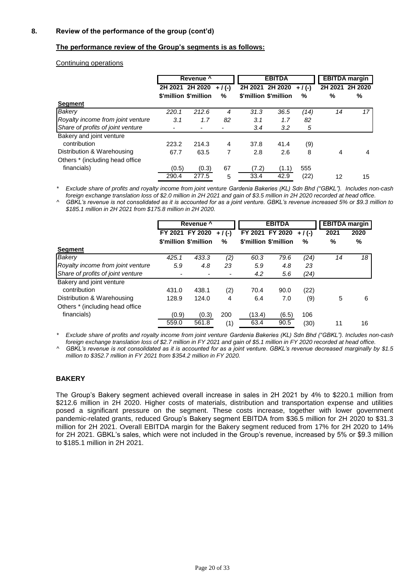### **The performance review of the Group's segments is as follows:**

#### Continuing operations

|                                   |       |                       | Revenue <sup>1</sup> |         | <b>EBITDA</b>         |         |         | <b>EBITDA</b> margin |
|-----------------------------------|-------|-----------------------|----------------------|---------|-----------------------|---------|---------|----------------------|
|                                   |       | 2H 2021 2H 2020       | $+/($ - $)$          | 2H 2021 | 2H 2020               | $+/(-)$ | 2H 2021 | 2H 2020              |
|                                   |       | \$'million \$'million | %                    |         | \$'million \$'million | $\%$    | %       | %                    |
| <b>Segment</b>                    |       |                       |                      |         |                       |         |         |                      |
| Bakery                            | 220.1 | 212.6                 | 4                    | 31.3    | 36.5                  | (14)    | 14      | 17                   |
| Royalty income from joint venture | 3.1   | 1.7                   | 82                   | 3.1     | 1.7                   | 82      |         |                      |
| Share of profits of joint venture |       |                       |                      | 3.4     | 3.2                   | 5       |         |                      |
| Bakery and joint venture          |       |                       |                      |         |                       |         |         |                      |
| contribution                      | 223.2 | 214.3                 | 4                    | 37.8    | 41.4                  | (9)     |         |                      |
| Distribution & Warehousing        | 67.7  | 63.5                  | 7                    | 2.8     | 2.6                   | 8       | 4       | 4                    |
| Others * (including head office)  |       |                       |                      |         |                       |         |         |                      |
| financials)                       | (0.5) | (0.3)                 | 67                   | (7.2)   | (1.1)                 | 555     |         |                      |
|                                   | 290.4 | 277.5                 | 5                    | 33.4    | 42.9                  | (22)    | 12      | 15                   |

*\* Exclude share of profits and royalty income from joint venture Gardenia Bakeries (KL) Sdn Bhd ("GBKL"). Includes non-cash foreign exchange translation loss of \$2.0 million in 2H 2021 and gain of \$3.5 million in 2H 2020 recorded at head office.*

*^ GBKL's revenue is not consolidated as it is accounted for as a joint venture. GBKL's revenue increased 5% or \$9.3 million to \$185.1 million in 2H 2021 from \$175.8 million in 2H 2020.*

|                                   | Revenue ^ |                       | <b>EBITDA</b> |        |                       | <b>EBITDA</b> margin |      |      |
|-----------------------------------|-----------|-----------------------|---------------|--------|-----------------------|----------------------|------|------|
|                                   |           | FY 2021 FY 2020       | $+$ / (-)     |        | FY 2021 FY 2020       | $+/(-)$              | 2021 | 2020 |
|                                   |           | \$'million \$'million | $\%$          |        | \$'million \$'million | $\%$                 | %    | %    |
| <b>Segment</b>                    |           |                       |               |        |                       |                      |      |      |
| <b>Bakery</b>                     | 425.1     | 433.3                 | (2)           | 60.3   | 79.6                  | (24)                 | 14   | 18   |
| Royalty income from joint venture | 5.9       | 4.8                   | 23            | 5.9    | 4.8                   | 23                   |      |      |
| Share of profits of joint venture |           |                       |               | 4.2    | 5.6                   | (24)                 |      |      |
| Bakery and joint venture          |           |                       |               |        |                       |                      |      |      |
| contribution                      | 431.0     | 438.1                 | (2)           | 70.4   | 90.0                  | (22)                 |      |      |
| Distribution & Warehousing        | 128.9     | 124.0                 | 4             | 6.4    | 7.0                   | (9)                  | 5    | 6    |
| Others * (including head office)  |           |                       |               |        |                       |                      |      |      |
| financials)                       | (0.9)     | (0.3)                 | 200           | (13.4) | (6.5)                 | 106                  |      |      |
|                                   | 559.0     | 561.8                 | (1)           | 63.4   | 90.5                  | (30)                 | 11   | 16   |

*\* Exclude share of profits and royalty income from joint venture Gardenia Bakeries (KL) Sdn Bhd ("GBKL"). Includes non-cash foreign exchange translation loss of \$2.7 million in FY 2021 and gain of \$5.1 million in FY 2020 recorded at head office.*

*^ GBKL's revenue is not consolidated as it is accounted for as a joint venture. GBKL's revenue decreased marginally by \$1.5 million to \$352.7 million in FY 2021 from \$354.2 million in FY 2020.*

### **BAKERY**

The Group's Bakery segment achieved overall increase in sales in 2H 2021 by 4% to \$220.1 million from \$212.6 million in 2H 2020. Higher costs of materials, distribution and transportation expense and utilities posed a significant pressure on the segment. These costs increase, together with lower government pandemic-related grants, reduced Group's Bakery segment EBITDA from \$36.5 million for 2H 2020 to \$31.3 million for 2H 2021. Overall EBITDA margin for the Bakery segment reduced from 17% for 2H 2020 to 14% for 2H 2021. GBKL's sales, which were not included in the Group's revenue, increased by 5% or \$9.3 million to \$185.1 million in 2H 2021.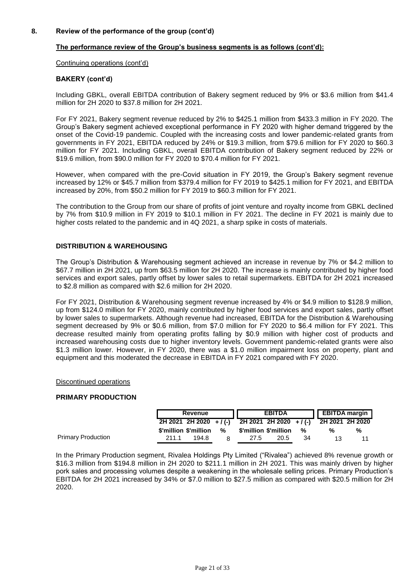### **The performance review of the Group's business segments is as follows (cont'd):**

Continuing operations (cont'd)

#### **BAKERY (cont'd)**

Including GBKL, overall EBITDA contribution of Bakery segment reduced by 9% or \$3.6 million from \$41.4 million for 2H 2020 to \$37.8 million for 2H 2021.

For FY 2021, Bakery segment revenue reduced by 2% to \$425.1 million from \$433.3 million in FY 2020. The Group's Bakery segment achieved exceptional performance in FY 2020 with higher demand triggered by the onset of the Covid-19 pandemic. Coupled with the increasing costs and lower pandemic-related grants from governments in FY 2021, EBITDA reduced by 24% or \$19.3 million, from \$79.6 million for FY 2020 to \$60.3 million for FY 2021. Including GBKL, overall EBITDA contribution of Bakery segment reduced by 22% or \$19.6 million, from \$90.0 million for FY 2020 to \$70.4 million for FY 2021.

However, when compared with the pre-Covid situation in FY 2019, the Group's Bakery segment revenue increased by 12% or \$45.7 million from \$379.4 million for FY 2019 to \$425.1 million for FY 2021, and EBITDA increased by 20%, from \$50.2 million for FY 2019 to \$60.3 million for FY 2021.

The contribution to the Group from our share of profits of joint venture and royalty income from GBKL declined by 7% from \$10.9 million in FY 2019 to \$10.1 million in FY 2021. The decline in FY 2021 is mainly due to higher costs related to the pandemic and in 4Q 2021, a sharp spike in costs of materials.

## **DISTRIBUTION & WAREHOUSING**

The Group's Distribution & Warehousing segment achieved an increase in revenue by 7% or \$4.2 million to \$67.7 million in 2H 2021, up from \$63.5 million for 2H 2020. The increase is mainly contributed by higher food services and export sales, partly offset by lower sales to retail supermarkets. EBITDA for 2H 2021 increased to \$2.8 million as compared with \$2.6 million for 2H 2020.

For FY 2021, Distribution & Warehousing segment revenue increased by 4% or \$4.9 million to \$128.9 million, up from \$124.0 million for FY 2020, mainly contributed by higher food services and export sales, partly offset by lower sales to supermarkets. Although revenue had increased, EBITDA for the Distribution & Warehousing segment decreased by 9% or \$0.6 million, from \$7.0 million for FY 2020 to \$6.4 million for FY 2021. This decrease resulted mainly from operating profits falling by \$0.9 million with higher cost of products and increased warehousing costs due to higher inventory levels. Government pandemic-related grants were also \$1.3 million lower. However, in FY 2020, there was a \$1.0 million impairment loss on property, plant and equipment and this moderated the decrease in EBITDA in FY 2021 compared with FY 2020.

#### Discontinued operations

#### **PRIMARY PRODUCTION**

|                           | Revenue |                       |   | <b>EBITDA</b>                                               |      |    | <b>EBITDA</b> margin |   |  |
|---------------------------|---------|-----------------------|---|-------------------------------------------------------------|------|----|----------------------|---|--|
|                           |         |                       |   | 2H 2021 2H 2020 +/(-) 2H 2021 2H 2020 +/(-) 2H 2021 2H 2020 |      |    |                      |   |  |
|                           |         | \$'million \$'million | % | \$'million \$'million                                       |      | %  | %                    | % |  |
| <b>Primary Production</b> | 211.1   | 194.8                 |   | 27.5                                                        | 20.5 | 34 |                      |   |  |

In the Primary Production segment, Rivalea Holdings Pty Limited ("Rivalea") achieved 8% revenue growth or \$16.3 million from \$194.8 million in 2H 2020 to \$211.1 million in 2H 2021. This was mainly driven by higher pork sales and processing volumes despite a weakening in the wholesale selling prices. Primary Production's EBITDA for 2H 2021 increased by 34% or \$7.0 million to \$27.5 million as compared with \$20.5 million for 2H 2020.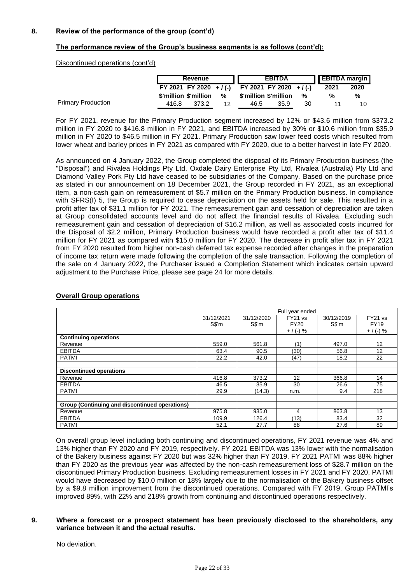### **The performance review of the Group's business segments is as follows (cont'd):**

Discontinued operations (cont'd)

|                           |       | Revenue               |    |                                                 | <b>EBITDA</b> |    |      | <b>EBITDA</b> margin |  |
|---------------------------|-------|-----------------------|----|-------------------------------------------------|---------------|----|------|----------------------|--|
|                           |       |                       |    | FY 2021 FY 2020 + / (-) FY 2021 FY 2020 + / (-) |               |    | 2021 | 2020                 |  |
|                           |       | \$'million \$'million | %  | \$'million \$'million                           |               | %  | ℅    | %                    |  |
| <b>Primary Production</b> | 416.8 | 373.2                 | 12 | 46.5                                            | 35.9          | 30 |      | 10                   |  |

For FY 2021, revenue for the Primary Production segment increased by 12% or \$43.6 million from \$373.2 million in FY 2020 to \$416.8 million in FY 2021, and EBITDA increased by 30% or \$10.6 million from \$35.9 million in FY 2020 to \$46.5 million in FY 2021. Primary Production saw lower feed costs which resulted from lower wheat and barley prices in FY 2021 as compared with FY 2020, due to a better harvest in late FY 2020.

As announced on 4 January 2022, the Group completed the disposal of its Primary Production business (the "Disposal") and Rivalea Holdings Pty Ltd, Oxdale Dairy Enterprise Pty Ltd, Rivalea (Australia) Pty Ltd and Diamond Valley Pork Pty Ltd have ceased to be subsidiaries of the Company. Based on the purchase price as stated in our announcement on 18 December 2021, the Group recorded in FY 2021, as an exceptional item, a non-cash gain on remeasurement of \$5.7 million on the Primary Production business. In compliance with SFRS(I) 5, the Group is required to cease depreciation on the assets held for sale. This resulted in a profit after tax of \$31.1 million for FY 2021. The remeasurement gain and cessation of depreciation are taken at Group consolidated accounts level and do not affect the financial results of Rivalea. Excluding such remeasurement gain and cessation of depreciation of \$16.2 million, as well as associated costs incurred for the Disposal of \$2.2 million, Primary Production business would have recorded a profit after tax of \$11.4 million for FY 2021 as compared with \$15.0 million for FY 2020. The decrease in profit after tax in FY 2021 from FY 2020 resulted from higher non-cash deferred tax expense recorded after changes in the preparation of income tax return were made following the completion of the sale transaction. Following the completion of the sale on 4 January 2022, the Purchaser issued a Completion Statement which indicates certain upward adjustment to the Purchase Price, please see page 24 for more details.

|                                                | Full year ended    |            |             |                    |             |  |  |  |
|------------------------------------------------|--------------------|------------|-------------|--------------------|-------------|--|--|--|
|                                                | 31/12/2021         | 31/12/2020 | FY21 vs     | 30/12/2019         | FY21 vs     |  |  |  |
|                                                | $S\$ <sup>'m</sup> | S\$'m      | <b>FY20</b> | $S\$ <sup>'m</sup> | <b>FY19</b> |  |  |  |
|                                                |                    |            | $+$ / (-) % |                    | $+$ / (-) % |  |  |  |
| <b>Continuing operations</b>                   |                    |            |             |                    |             |  |  |  |
| Revenue                                        | 559.0              | 561.8      | (1)         | 497.0              | 12          |  |  |  |
| <b>EBITDA</b>                                  | 63.4               | 90.5       | (30)        | 56.8               | 12          |  |  |  |
| <b>PATMI</b>                                   | 22.2               | 42.0       | (47)        | 18.2               | 22          |  |  |  |
|                                                |                    |            |             |                    |             |  |  |  |
| <b>Discontinued operations</b>                 |                    |            |             |                    |             |  |  |  |
| Revenue                                        | 416.8              | 373.2      | 12          | 366.8              | 14          |  |  |  |
| <b>EBITDA</b>                                  | 46.5               | 35.9       | 30          | 26.6               | 75          |  |  |  |
| <b>PATMI</b>                                   | 29.9               | (14.3)     | n.m.        | 9.4                | 218         |  |  |  |
|                                                |                    |            |             |                    |             |  |  |  |
| Group (Continuing and discontinued operations) |                    |            |             |                    |             |  |  |  |
| Revenue                                        | 975.8              | 935.0      | 4           | 863.8              | 13          |  |  |  |
| <b>EBITDA</b>                                  | 109.9              | 126.4      | (13)        | 83.4               | 32          |  |  |  |
| <b>PATMI</b>                                   | 52.1               | 27.7       | 88          | 27.6               | 89          |  |  |  |

#### **Overall Group operations**

On overall group level including both continuing and discontinued operations, FY 2021 revenue was 4% and 13% higher than FY 2020 and FY 2019, respectively. FY 2021 EBITDA was 13% lower with the normalisation of the Bakery business against FY 2020 but was 32% higher than FY 2019. FY 2021 PATMI was 88% higher than FY 2020 as the previous year was affected by the non-cash remeasurement loss of \$28.7 million on the discontinued Primary Production business. Excluding remeasurement losses in FY 2021 and FY 2020, PATMI would have decreased by \$10.0 million or 18% largely due to the normalisation of the Bakery business offset by a \$9.8 million improvement from the discontinued operations. Compared with FY 2019, Group PATMI's improved 89%, with 22% and 218% growth from continuing and discontinued operations respectively.

### **9. Where a forecast or a prospect statement has been previously disclosed to the shareholders, any variance between it and the actual results.**

No deviation.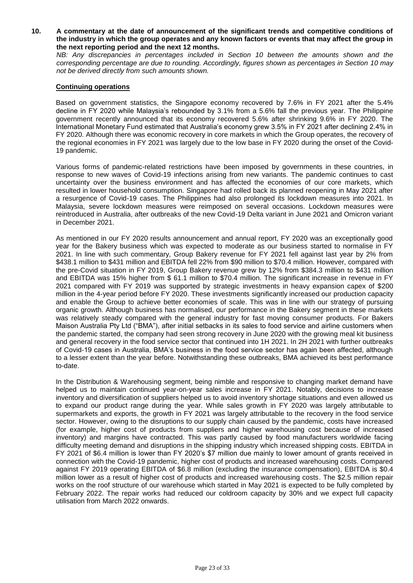**10. A commentary at the date of announcement of the significant trends and competitive conditions of the industry in which the group operates and any known factors or events that may affect the group in the next reporting period and the next 12 months.**

*NB: Any discrepancies in percentages included in Section 10 between the amounts shown and the corresponding percentage are due to rounding. Accordingly, figures shown as percentages in Section 10 may not be derived directly from such amounts shown.*

### **Continuing operations**

Based on government statistics, the Singapore economy recovered by 7.6% in FY 2021 after the 5.4% decline in FY 2020 while Malaysia's rebounded by 3.1% from a 5.6% fall the previous year. The Philippine government recently announced that its economy recovered 5.6% after shrinking 9.6% in FY 2020. The International Monetary Fund estimated that Australia's economy grew 3.5% in FY 2021 after declining 2.4% in FY 2020. Although there was economic recovery in core markets in which the Group operates, the recovery of the regional economies in FY 2021 was largely due to the low base in FY 2020 during the onset of the Covid-19 pandemic.

Various forms of pandemic-related restrictions have been imposed by governments in these countries, in response to new waves of Covid-19 infections arising from new variants. The pandemic continues to cast uncertainty over the business environment and has affected the economies of our core markets, which resulted in lower household consumption. Singapore had rolled back its planned reopening in May 2021 after a resurgence of Covid-19 cases. The Philippines had also prolonged its lockdown measures into 2021. In Malaysia, severe lockdown measures were reimposed on several occasions. Lockdown measures were reintroduced in Australia, after outbreaks of the new Covid-19 Delta variant in June 2021 and Omicron variant in December 2021.

As mentioned in our FY 2020 results announcement and annual report, FY 2020 was an exceptionally good year for the Bakery business which was expected to moderate as our business started to normalise in FY 2021. In line with such commentary, Group Bakery revenue for FY 2021 fell against last year by 2% from \$438.1 million to \$431 million and EBITDA fell 22% from \$90 million to \$70.4 million. However, compared with the pre-Covid situation in FY 2019, Group Bakery revenue grew by 12% from \$384.3 million to \$431 million and EBITDA was 15% higher from \$ 61.1 million to \$70.4 million. The significant increase in revenue in FY 2021 compared with FY 2019 was supported by strategic investments in heavy expansion capex of \$200 million in the 4-year period before FY 2020. These investments significantly increased our production capacity and enable the Group to achieve better economies of scale. This was in line with our strategy of pursuing organic growth. Although business has normalised, our performance in the Bakery segment in these markets was relatively steady compared with the general industry for fast moving consumer products. For Bakers Maison Australia Pty Ltd ("BMA"), after initial setbacks in its sales to food service and airline customers when the pandemic started, the company had seen strong recovery in June 2020 with the growing meal kit business and general recovery in the food service sector that continued into 1H 2021. In 2H 2021 with further outbreaks of Covid-19 cases in Australia, BMA's business in the food service sector has again been affected, although to a lesser extent than the year before. Notwithstanding these outbreaks, BMA achieved its best performance to-date.

In the Distribution & Warehousing segment, being nimble and responsive to changing market demand have helped us to maintain continued year-on-year sales increase in FY 2021. Notably, decisions to increase inventory and diversification of suppliers helped us to avoid inventory shortage situations and even allowed us to expand our product range during the year. While sales growth in FY 2020 was largely attributable to supermarkets and exports, the growth in FY 2021 was largely attributable to the recovery in the food service sector. However, owing to the disruptions to our supply chain caused by the pandemic, costs have increased (for example, higher cost of products from suppliers and higher warehousing cost because of increased inventory) and margins have contracted. This was partly caused by food manufacturers worldwide facing difficulty meeting demand and disruptions in the shipping industry which increased shipping costs. EBITDA in FY 2021 of \$6.4 million is lower than FY 2020's \$7 million due mainly to lower amount of grants received in connection with the Covid-19 pandemic, higher cost of products and increased warehousing costs. Compared against FY 2019 operating EBITDA of \$6.8 million (excluding the insurance compensation), EBITDA is \$0.4 million lower as a result of higher cost of products and increased warehousing costs. The \$2.5 million repair works on the roof structure of our warehouse which started in May 2021 is expected to be fully completed by February 2022. The repair works had reduced our coldroom capacity by 30% and we expect full capacity utilisation from March 2022 onwards.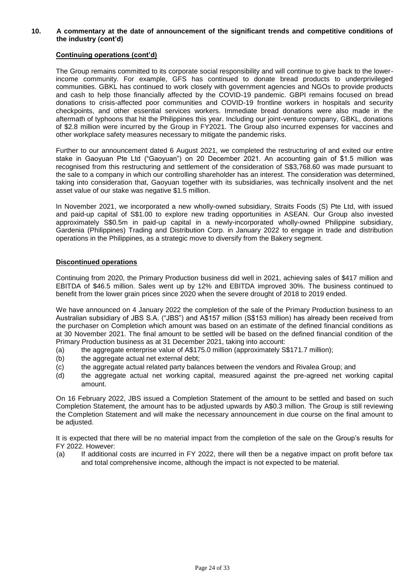### **10. A commentary at the date of announcement of the significant trends and competitive conditions of the industry (cont'd)**

### **Continuing operations (cont'd)**

The Group remains committed to its corporate social responsibility and will continue to give back to the lowerincome community. For example, GFS has continued to donate bread products to underprivileged communities. GBKL has continued to work closely with government agencies and NGOs to provide products and cash to help those financially affected by the COVID-19 pandemic. GBPI remains focused on bread donations to crisis-affected poor communities and COVID-19 frontline workers in hospitals and security checkpoints, and other essential services workers. Immediate bread donations were also made in the aftermath of typhoons that hit the Philippines this year. Including our joint-venture company, GBKL, donations of \$2.8 million were incurred by the Group in FY2021. The Group also incurred expenses for vaccines and other workplace safety measures necessary to mitigate the pandemic risks.

Further to our announcement dated 6 August 2021, we completed the restructuring of and exited our entire stake in Gaoyuan Pte Ltd ("Gaoyuan") on 20 December 2021. An accounting gain of \$1.5 million was recognised from this restructuring and settlement of the consideration of S\$3,768.60 was made pursuant to the sale to a company in which our controlling shareholder has an interest. The consideration was determined, taking into consideration that, Gaoyuan together with its subsidiaries, was technically insolvent and the net asset value of our stake was negative \$1.5 million.

In November 2021, we incorporated a new wholly-owned subsidiary, Straits Foods (S) Pte Ltd, with issued and paid-up capital of S\$1.00 to explore new trading opportunities in ASEAN. Our Group also invested approximately S\$0.5m in paid-up capital in a newly-incorporated wholly-owned Philippine subsidiary, Gardenia (Philippines) Trading and Distribution Corp. in January 2022 to engage in trade and distribution operations in the Philippines, as a strategic move to diversify from the Bakery segment.

### **Discontinued operations**

Continuing from 2020, the Primary Production business did well in 2021, achieving sales of \$417 million and EBITDA of \$46.5 million. Sales went up by 12% and EBITDA improved 30%. The business continued to benefit from the lower grain prices since 2020 when the severe drought of 2018 to 2019 ended.

We have announced on 4 January 2022 the completion of the sale of the Primary Production business to an Australian subsidiary of JBS S.A. ("JBS") and A\$157 million (S\$153 million) has already been received from the purchaser on Completion which amount was based on an estimate of the defined financial conditions as at 30 November 2021. The final amount to be settled will be based on the defined financial condition of the Primary Production business as at 31 December 2021, taking into account:

- (a) the aggregate enterprise value of A\$175.0 million (approximately S\$171.7 million);
- (b) the aggregate actual net external debt;
- (c) the aggregate actual related party balances between the vendors and Rivalea Group; and
- (d) the aggregate actual net working capital, measured against the pre-agreed net working capital amount.

On 16 February 2022, JBS issued a Completion Statement of the amount to be settled and based on such Completion Statement, the amount has to be adjusted upwards by A\$0.3 million. The Group is still reviewing the Completion Statement and will make the necessary announcement in due course on the final amount to be adjusted.

It is expected that there will be no material impact from the completion of the sale on the Group's results for FY 2022. However:

(a) If additional costs are incurred in FY 2022, there will then be a negative impact on profit before tax and total comprehensive income, although the impact is not expected to be material.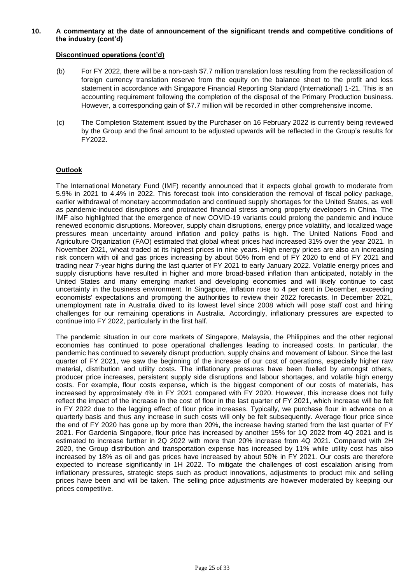### **10. A commentary at the date of announcement of the significant trends and competitive conditions of the industry (cont'd)**

### **Discontinued operations (cont'd)**

- (b) For FY 2022, there will be a non-cash \$7.7 million translation loss resulting from the reclassification of foreign currency translation reserve from the equity on the balance sheet to the profit and loss statement in accordance with Singapore Financial Reporting Standard (International) 1-21. This is an accounting requirement following the completion of the disposal of the Primary Production business. However, a corresponding gain of \$7.7 million will be recorded in other comprehensive income.
- (c) The Completion Statement issued by the Purchaser on 16 February 2022 is currently being reviewed by the Group and the final amount to be adjusted upwards will be reflected in the Group's results for FY2022.

### **Outlook**

The International Monetary Fund (IMF) recently announced that it expects global growth to moderate from 5.9% in 2021 to 4.4% in 2022. This forecast took into consideration the removal of fiscal policy package, earlier withdrawal of monetary accommodation and continued supply shortages for the United States, as well as pandemic-induced disruptions and protracted financial stress among property developers in China. The IMF also highlighted that the emergence of new COVID-19 variants could prolong the pandemic and induce renewed economic disruptions. Moreover, supply chain disruptions, energy price volatility, and localized wage pressures mean uncertainty around inflation and policy paths is high. The United Nations Food and Agriculture Organization (FAO) estimated that global wheat prices had increased 31% over the year 2021. In November 2021, wheat traded at its highest prices in nine years. High energy prices are also an increasing risk concern with oil and gas prices increasing by about 50% from end of FY 2020 to end of FY 2021 and trading near 7-year highs during the last quarter of FY 2021 to early January 2022. Volatile energy prices and supply disruptions have resulted in higher and more broad-based inflation than anticipated, notably in the United States and many emerging market and developing economies and will likely continue to cast uncertainty in the business environment. In Singapore, inflation rose to 4 per cent in December, exceeding economists' expectations and prompting the authorities to review their 2022 forecasts. In December 2021, unemployment rate in Australia dived to its lowest level since 2008 which will pose staff cost and hiring challenges for our remaining operations in Australia. Accordingly, inflationary pressures are expected to continue into FY 2022, particularly in the first half.

The pandemic situation in our core markets of Singapore, Malaysia, the Philippines and the other regional economies has continued to pose operational challenges leading to increased costs. In particular, the pandemic has continued to severely disrupt production, supply chains and movement of labour. Since the last quarter of FY 2021, we saw the beginning of the increase of our cost of operations, especially higher raw material, distribution and utility costs. The inflationary pressures have been fuelled by amongst others, producer price increases, persistent supply side disruptions and labour shortages, and volatile high energy costs. For example, flour costs expense, which is the biggest component of our costs of materials, has increased by approximately 4% in FY 2021 compared with FY 2020. However, this increase does not fully reflect the impact of the increase in the cost of flour in the last quarter of FY 2021, which increase will be felt in FY 2022 due to the lagging effect of flour price increases. Typically, we purchase flour in advance on a quarterly basis and thus any increase in such costs will only be felt subsequently. Average flour price since the end of FY 2020 has gone up by more than 20%, the increase having started from the last quarter of FY 2021. For Gardenia Singapore, flour price has increased by another 15% for 1Q 2022 from 4Q 2021 and is estimated to increase further in 2Q 2022 with more than 20% increase from 4Q 2021. Compared with 2H 2020, the Group distribution and transportation expense has increased by 11% while utility cost has also increased by 18% as oil and gas prices have increased by about 50% in FY 2021. Our costs are therefore expected to increase significantly in 1H 2022. To mitigate the challenges of cost escalation arising from inflationary pressures, strategic steps such as product innovations, adjustments to product mix and selling prices have been and will be taken. The selling price adjustments are however moderated by keeping our prices competitive.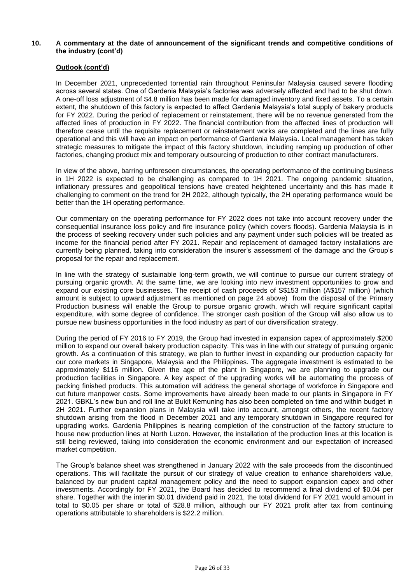### **10. A commentary at the date of announcement of the significant trends and competitive conditions of the industry (cont'd)**

### **Outlook (cont'd)**

In December 2021, unprecedented torrential rain throughout Peninsular Malaysia caused severe flooding across several states. One of Gardenia Malaysia's factories was adversely affected and had to be shut down. A one-off loss adjustment of \$4.8 million has been made for damaged inventory and fixed assets. To a certain extent, the shutdown of this factory is expected to affect Gardenia Malaysia's total supply of bakery products for FY 2022. During the period of replacement or reinstatement, there will be no revenue generated from the affected lines of production in FY 2022. The financial contribution from the affected lines of production will therefore cease until the requisite replacement or reinstatement works are completed and the lines are fully operational and this will have an impact on performance of Gardenia Malaysia. Local management has taken strategic measures to mitigate the impact of this factory shutdown, including ramping up production of other factories, changing product mix and temporary outsourcing of production to other contract manufacturers.

In view of the above, barring unforeseen circumstances, the operating performance of the continuing business in 1H 2022 is expected to be challenging as compared to 1H 2021. The ongoing pandemic situation, inflationary pressures and geopolitical tensions have created heightened uncertainty and this has made it challenging to comment on the trend for 2H 2022, although typically, the 2H operating performance would be better than the 1H operating performance.

Our commentary on the operating performance for FY 2022 does not take into account recovery under the consequential insurance loss policy and fire insurance policy (which covers floods). Gardenia Malaysia is in the process of seeking recovery under such policies and any payment under such policies will be treated as income for the financial period after FY 2021. Repair and replacement of damaged factory installations are currently being planned, taking into consideration the insurer's assessment of the damage and the Group's proposal for the repair and replacement.

In line with the strategy of sustainable long-term growth, we will continue to pursue our current strategy of pursuing organic growth. At the same time, we are looking into new investment opportunities to grow and expand our existing core businesses. The receipt of cash proceeds of S\$153 million (A\$157 million) (which amount is subject to upward adjustment as mentioned on page 24 above) from the disposal of the Primary Production business will enable the Group to pursue organic growth, which will require significant capital expenditure, with some degree of confidence. The stronger cash position of the Group will also allow us to pursue new business opportunities in the food industry as part of our diversification strategy.

During the period of FY 2016 to FY 2019, the Group had invested in expansion capex of approximately \$200 million to expand our overall bakery production capacity. This was in line with our strategy of pursuing organic growth. As a continuation of this strategy, we plan to further invest in expanding our production capacity for our core markets in Singapore, Malaysia and the Philippines. The aggregate investment is estimated to be approximately \$116 million. Given the age of the plant in Singapore, we are planning to upgrade our production facilities in Singapore. A key aspect of the upgrading works will be automating the process of packing finished products. This automation will address the general shortage of workforce in Singapore and cut future manpower costs. Some improvements have already been made to our plants in Singapore in FY 2021. GBKL's new bun and roll line at Bukit Kemuning has also been completed on time and within budget in 2H 2021. Further expansion plans in Malaysia will take into account, amongst others, the recent factory shutdown arising from the flood in December 2021 and any temporary shutdown in Singapore required for upgrading works. Gardenia Philippines is nearing completion of the construction of the factory structure to house new production lines at North Luzon. However, the installation of the production lines at this location is still being reviewed, taking into consideration the economic environment and our expectation of increased market competition.

The Group's balance sheet was strengthened in January 2022 with the sale proceeds from the discontinued operations. This will facilitate the pursuit of our strategy of value creation to enhance shareholders value, balanced by our prudent capital management policy and the need to support expansion capex and other investments. Accordingly for FY 2021, the Board has decided to recommend a final dividend of \$0.04 per share. Together with the interim \$0.01 dividend paid in 2021, the total dividend for FY 2021 would amount in total to \$0.05 per share or total of \$28.8 million, although our FY 2021 profit after tax from continuing operations attributable to shareholders is \$22.2 million.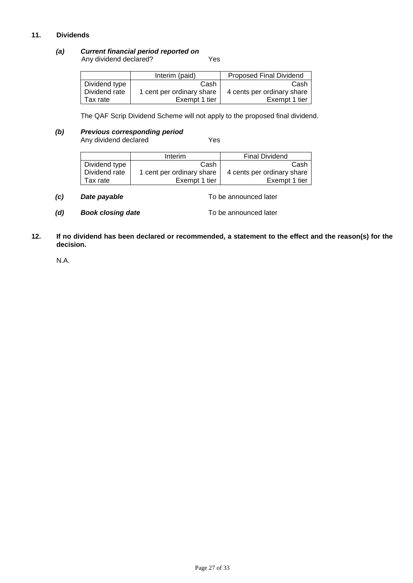# **11. Dividends**

### *(a) Current financial period reported on*

Any dividend declared? The Many dividend declared?

|               | Interim (paid)            | <b>Proposed Final Dividend</b> |
|---------------|---------------------------|--------------------------------|
| Dividend type | Cash                      | Cash                           |
| Dividend rate | 1 cent per ordinary share | 4 cents per ordinary share     |
| Tax rate      | Exempt 1 tier             | Exempt 1 tier                  |

The QAF Scrip Dividend Scheme will not apply to the proposed final dividend.

# *(b) Previous corresponding period*

Any dividend declared Yes

|               | <b>Interim</b>            | <b>Final Dividend</b>      |
|---------------|---------------------------|----------------------------|
| Dividend type | Cash                      | Cash                       |
| Dividend rate | 1 cent per ordinary share | 4 cents per ordinary share |
| Tax rate      | Exempt 1 tier             | Exempt 1 tier              |

- *(c) Date payable* To be announced later
- *(d)* **Book closing date To be announced later**
- **12. If no dividend has been declared or recommended, a statement to the effect and the reason(s) for the decision.**

N.A.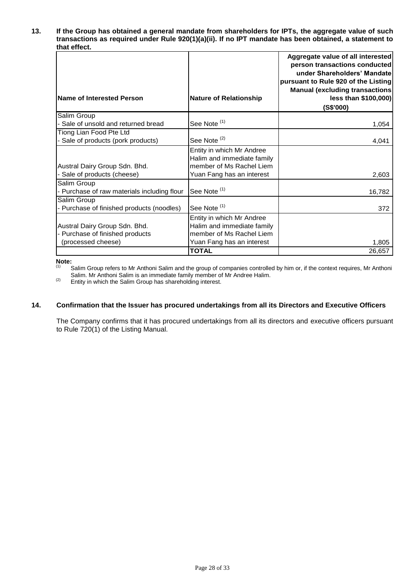**13. If the Group has obtained a general mandate from shareholders for IPTs, the aggregate value of such transactions as required under Rule 920(1)(a)(ii). If no IPT mandate has been obtained, a statement to that effect.**

| Name of Interested Person                                                              | <b>Nature of Relationship</b>                                                                                    | Aggregate value of all interested<br>person transactions conducted<br>under Shareholders' Mandate<br>pursuant to Rule 920 of the Listing<br><b>Manual (excluding transactions)</b><br>less than \$100,000)<br>(S\$'000) |
|----------------------------------------------------------------------------------------|------------------------------------------------------------------------------------------------------------------|-------------------------------------------------------------------------------------------------------------------------------------------------------------------------------------------------------------------------|
| Salim Group                                                                            |                                                                                                                  |                                                                                                                                                                                                                         |
| - Sale of unsold and returned bread                                                    | See Note <sup>(1)</sup>                                                                                          | 1,054                                                                                                                                                                                                                   |
| Tiong Lian Food Pte Ltd                                                                |                                                                                                                  |                                                                                                                                                                                                                         |
| - Sale of products (pork products)                                                     | See Note <sup>(2)</sup>                                                                                          | 4,041                                                                                                                                                                                                                   |
| Austral Dairy Group Sdn. Bhd.<br>- Sale of products (cheese)                           | Entity in which Mr Andree<br>Halim and immediate family<br>member of Ms Rachel Liem<br>Yuan Fang has an interest | 2,603                                                                                                                                                                                                                   |
| Salim Group<br>- Purchase of raw materials including flour                             | See Note <sup>(1)</sup>                                                                                          | 16,782                                                                                                                                                                                                                  |
| Salim Group<br>- Purchase of finished products (noodles)                               | See Note <sup>(1)</sup>                                                                                          | 372                                                                                                                                                                                                                     |
| Austral Dairy Group Sdn. Bhd.<br>- Purchase of finished products<br>(processed cheese) | Entity in which Mr Andree<br>Halim and immediate family<br>member of Ms Rachel Liem<br>Yuan Fang has an interest | 1,805                                                                                                                                                                                                                   |
|                                                                                        | <b>TOTAL</b>                                                                                                     | 26,657                                                                                                                                                                                                                  |

**Note:**<br>(1) **S** 

Salim Group refers to Mr Anthoni Salim and the group of companies controlled by him or, if the context requires, Mr Anthoni Salim. Mr Anthoni Salim is an immediate family member of Mr Andree Halim.

(2) Entity in which the Salim Group has shareholding interest.

#### **14. Confirmation that the Issuer has procured undertakings from all its Directors and Executive Officers**

The Company confirms that it has procured undertakings from all its directors and executive officers pursuant to Rule 720(1) of the Listing Manual.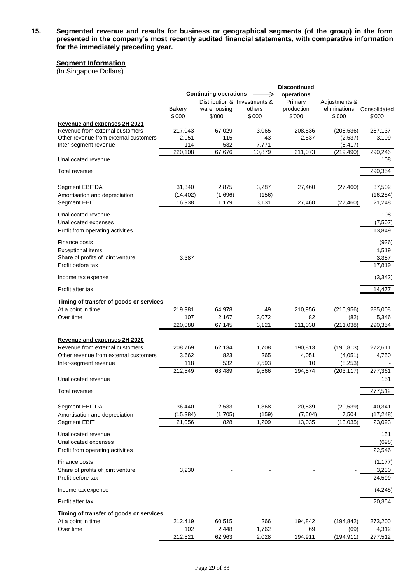**15. Segmented revenue and results for business or geographical segments (of the group) in the form presented in the company's most recently audited financial statements, with comparative information for the immediately preceding year.**

### **Segment Information**

(In Singapore Dollars)

| Distribution & Investments &<br>Primary<br>Adjustments &<br>warehousing<br>others<br>production<br>eliminations<br>Consolidated<br>Bakery<br>\$'000<br>\$'000<br>\$'000<br>\$'000<br>\$'000<br>\$'000<br>Revenue and expenses 2H 2021<br>Revenue from external customers<br>217,043<br>67,029<br>3,065<br>208,536<br>(208, 536)<br>287,137<br>Other revenue from external customers<br>2,951<br>43<br>2,537<br>3,109<br>115<br>(2,537)<br>114<br>532<br>7,771<br>(8, 417)<br>Inter-segment revenue<br>220,108<br>67,676<br>211,073<br>10,879<br>(219, 490)<br>290,246<br>Unallocated revenue<br>108<br>290,354<br>Total revenue<br>31,340<br>2,875<br>3,287<br>37,502<br>Segment EBITDA<br>27,460<br>(27, 460)<br>(156)<br>(14, 402)<br>(1,696)<br>(16, 254)<br>Amortisation and depreciation<br>16,938<br>1,179<br>3,131<br>27,460<br>Segment EBIT<br>(27, 460)<br>21,248<br>Unallocated revenue<br>108<br>(7,507)<br>Unallocated expenses<br>Profit from operating activities<br>13,849<br>(936)<br>Finance costs<br>1,519<br><b>Exceptional items</b><br>Share of profits of joint venture<br>3,387<br>3,387<br>Profit before tax<br>17,819<br>(3, 342)<br>Income tax expense<br>14,477<br>Profit after tax<br>Timing of transfer of goods or services<br>At a point in time<br>219,981<br>64,978<br>49<br>210,956<br>(210, 956)<br>285,008<br>107<br>2,167<br>82<br>5,346<br>Over time<br>3,072<br>(82)<br>220,088<br>3,121<br>211,038<br>(211, 038)<br>67,145<br>290,354<br>Revenue and expenses 2H 2020<br>Revenue from external customers<br>208,769<br>62,134<br>1,708<br>190,813<br>(190, 813)<br>272,611<br>265<br>Other revenue from external customers<br>3,662<br>823<br>4,051<br>(4,051)<br>4,750<br>532<br>118<br>7,593<br>10<br>(8, 253)<br>Inter-segment revenue<br>212,549<br>9,566<br>277,361<br>63,489<br>194,874<br>(203, 117)<br>Unallocated revenue<br>151<br>277,512<br>Total revenue<br>36,440<br>Segment EBITDA<br>2,533<br>1,368<br>20,539<br>(20, 539)<br>40,341<br>(159)<br>(15, 384)<br>(1,705)<br>(7, 504)<br>7,504<br>(17, 248)<br>Amortisation and depreciation<br>21,056<br>(13,035)<br>Segment EBIT<br>828<br>1.209<br>13,035<br>23,093<br>Unallocated revenue<br>151<br>Unallocated expenses<br>(698)<br>22,546<br>Profit from operating activities<br>Finance costs<br>(1, 177)<br>Share of profits of joint venture<br>3,230<br>3,230<br>Profit before tax<br>24,599<br>(4,245)<br>Income tax expense<br>20,354<br>Profit after tax<br>Timing of transfer of goods or services<br>At a point in time<br>212,419<br>60,515<br>266<br>194,842<br>(194, 842)<br>273,200<br>1,762<br>Over time<br>102<br>2,448<br>69<br>(69)<br>4,312<br>212,521<br>62,963<br>2,028<br>194,911<br>(194, 911)<br>277,512 | <b>Continuing operations</b> |  |  | <b>Discontinued</b><br>operations |  |  |
|-------------------------------------------------------------------------------------------------------------------------------------------------------------------------------------------------------------------------------------------------------------------------------------------------------------------------------------------------------------------------------------------------------------------------------------------------------------------------------------------------------------------------------------------------------------------------------------------------------------------------------------------------------------------------------------------------------------------------------------------------------------------------------------------------------------------------------------------------------------------------------------------------------------------------------------------------------------------------------------------------------------------------------------------------------------------------------------------------------------------------------------------------------------------------------------------------------------------------------------------------------------------------------------------------------------------------------------------------------------------------------------------------------------------------------------------------------------------------------------------------------------------------------------------------------------------------------------------------------------------------------------------------------------------------------------------------------------------------------------------------------------------------------------------------------------------------------------------------------------------------------------------------------------------------------------------------------------------------------------------------------------------------------------------------------------------------------------------------------------------------------------------------------------------------------------------------------------------------------------------------------------------------------------------------------------------------------------------------------------------------------------------------------------------------------------------------------------------------------------------------------------------------------------------------------------------------------------------------------------------------------------------------------------------------------------------------------------------------------------------|------------------------------|--|--|-----------------------------------|--|--|
|                                                                                                                                                                                                                                                                                                                                                                                                                                                                                                                                                                                                                                                                                                                                                                                                                                                                                                                                                                                                                                                                                                                                                                                                                                                                                                                                                                                                                                                                                                                                                                                                                                                                                                                                                                                                                                                                                                                                                                                                                                                                                                                                                                                                                                                                                                                                                                                                                                                                                                                                                                                                                                                                                                                                           |                              |  |  |                                   |  |  |
|                                                                                                                                                                                                                                                                                                                                                                                                                                                                                                                                                                                                                                                                                                                                                                                                                                                                                                                                                                                                                                                                                                                                                                                                                                                                                                                                                                                                                                                                                                                                                                                                                                                                                                                                                                                                                                                                                                                                                                                                                                                                                                                                                                                                                                                                                                                                                                                                                                                                                                                                                                                                                                                                                                                                           |                              |  |  |                                   |  |  |
|                                                                                                                                                                                                                                                                                                                                                                                                                                                                                                                                                                                                                                                                                                                                                                                                                                                                                                                                                                                                                                                                                                                                                                                                                                                                                                                                                                                                                                                                                                                                                                                                                                                                                                                                                                                                                                                                                                                                                                                                                                                                                                                                                                                                                                                                                                                                                                                                                                                                                                                                                                                                                                                                                                                                           |                              |  |  |                                   |  |  |
|                                                                                                                                                                                                                                                                                                                                                                                                                                                                                                                                                                                                                                                                                                                                                                                                                                                                                                                                                                                                                                                                                                                                                                                                                                                                                                                                                                                                                                                                                                                                                                                                                                                                                                                                                                                                                                                                                                                                                                                                                                                                                                                                                                                                                                                                                                                                                                                                                                                                                                                                                                                                                                                                                                                                           |                              |  |  |                                   |  |  |
|                                                                                                                                                                                                                                                                                                                                                                                                                                                                                                                                                                                                                                                                                                                                                                                                                                                                                                                                                                                                                                                                                                                                                                                                                                                                                                                                                                                                                                                                                                                                                                                                                                                                                                                                                                                                                                                                                                                                                                                                                                                                                                                                                                                                                                                                                                                                                                                                                                                                                                                                                                                                                                                                                                                                           |                              |  |  |                                   |  |  |
|                                                                                                                                                                                                                                                                                                                                                                                                                                                                                                                                                                                                                                                                                                                                                                                                                                                                                                                                                                                                                                                                                                                                                                                                                                                                                                                                                                                                                                                                                                                                                                                                                                                                                                                                                                                                                                                                                                                                                                                                                                                                                                                                                                                                                                                                                                                                                                                                                                                                                                                                                                                                                                                                                                                                           |                              |  |  |                                   |  |  |
|                                                                                                                                                                                                                                                                                                                                                                                                                                                                                                                                                                                                                                                                                                                                                                                                                                                                                                                                                                                                                                                                                                                                                                                                                                                                                                                                                                                                                                                                                                                                                                                                                                                                                                                                                                                                                                                                                                                                                                                                                                                                                                                                                                                                                                                                                                                                                                                                                                                                                                                                                                                                                                                                                                                                           |                              |  |  |                                   |  |  |
|                                                                                                                                                                                                                                                                                                                                                                                                                                                                                                                                                                                                                                                                                                                                                                                                                                                                                                                                                                                                                                                                                                                                                                                                                                                                                                                                                                                                                                                                                                                                                                                                                                                                                                                                                                                                                                                                                                                                                                                                                                                                                                                                                                                                                                                                                                                                                                                                                                                                                                                                                                                                                                                                                                                                           |                              |  |  |                                   |  |  |
|                                                                                                                                                                                                                                                                                                                                                                                                                                                                                                                                                                                                                                                                                                                                                                                                                                                                                                                                                                                                                                                                                                                                                                                                                                                                                                                                                                                                                                                                                                                                                                                                                                                                                                                                                                                                                                                                                                                                                                                                                                                                                                                                                                                                                                                                                                                                                                                                                                                                                                                                                                                                                                                                                                                                           |                              |  |  |                                   |  |  |
|                                                                                                                                                                                                                                                                                                                                                                                                                                                                                                                                                                                                                                                                                                                                                                                                                                                                                                                                                                                                                                                                                                                                                                                                                                                                                                                                                                                                                                                                                                                                                                                                                                                                                                                                                                                                                                                                                                                                                                                                                                                                                                                                                                                                                                                                                                                                                                                                                                                                                                                                                                                                                                                                                                                                           |                              |  |  |                                   |  |  |
|                                                                                                                                                                                                                                                                                                                                                                                                                                                                                                                                                                                                                                                                                                                                                                                                                                                                                                                                                                                                                                                                                                                                                                                                                                                                                                                                                                                                                                                                                                                                                                                                                                                                                                                                                                                                                                                                                                                                                                                                                                                                                                                                                                                                                                                                                                                                                                                                                                                                                                                                                                                                                                                                                                                                           |                              |  |  |                                   |  |  |
|                                                                                                                                                                                                                                                                                                                                                                                                                                                                                                                                                                                                                                                                                                                                                                                                                                                                                                                                                                                                                                                                                                                                                                                                                                                                                                                                                                                                                                                                                                                                                                                                                                                                                                                                                                                                                                                                                                                                                                                                                                                                                                                                                                                                                                                                                                                                                                                                                                                                                                                                                                                                                                                                                                                                           |                              |  |  |                                   |  |  |
|                                                                                                                                                                                                                                                                                                                                                                                                                                                                                                                                                                                                                                                                                                                                                                                                                                                                                                                                                                                                                                                                                                                                                                                                                                                                                                                                                                                                                                                                                                                                                                                                                                                                                                                                                                                                                                                                                                                                                                                                                                                                                                                                                                                                                                                                                                                                                                                                                                                                                                                                                                                                                                                                                                                                           |                              |  |  |                                   |  |  |
|                                                                                                                                                                                                                                                                                                                                                                                                                                                                                                                                                                                                                                                                                                                                                                                                                                                                                                                                                                                                                                                                                                                                                                                                                                                                                                                                                                                                                                                                                                                                                                                                                                                                                                                                                                                                                                                                                                                                                                                                                                                                                                                                                                                                                                                                                                                                                                                                                                                                                                                                                                                                                                                                                                                                           |                              |  |  |                                   |  |  |
|                                                                                                                                                                                                                                                                                                                                                                                                                                                                                                                                                                                                                                                                                                                                                                                                                                                                                                                                                                                                                                                                                                                                                                                                                                                                                                                                                                                                                                                                                                                                                                                                                                                                                                                                                                                                                                                                                                                                                                                                                                                                                                                                                                                                                                                                                                                                                                                                                                                                                                                                                                                                                                                                                                                                           |                              |  |  |                                   |  |  |
|                                                                                                                                                                                                                                                                                                                                                                                                                                                                                                                                                                                                                                                                                                                                                                                                                                                                                                                                                                                                                                                                                                                                                                                                                                                                                                                                                                                                                                                                                                                                                                                                                                                                                                                                                                                                                                                                                                                                                                                                                                                                                                                                                                                                                                                                                                                                                                                                                                                                                                                                                                                                                                                                                                                                           |                              |  |  |                                   |  |  |
|                                                                                                                                                                                                                                                                                                                                                                                                                                                                                                                                                                                                                                                                                                                                                                                                                                                                                                                                                                                                                                                                                                                                                                                                                                                                                                                                                                                                                                                                                                                                                                                                                                                                                                                                                                                                                                                                                                                                                                                                                                                                                                                                                                                                                                                                                                                                                                                                                                                                                                                                                                                                                                                                                                                                           |                              |  |  |                                   |  |  |
|                                                                                                                                                                                                                                                                                                                                                                                                                                                                                                                                                                                                                                                                                                                                                                                                                                                                                                                                                                                                                                                                                                                                                                                                                                                                                                                                                                                                                                                                                                                                                                                                                                                                                                                                                                                                                                                                                                                                                                                                                                                                                                                                                                                                                                                                                                                                                                                                                                                                                                                                                                                                                                                                                                                                           |                              |  |  |                                   |  |  |
|                                                                                                                                                                                                                                                                                                                                                                                                                                                                                                                                                                                                                                                                                                                                                                                                                                                                                                                                                                                                                                                                                                                                                                                                                                                                                                                                                                                                                                                                                                                                                                                                                                                                                                                                                                                                                                                                                                                                                                                                                                                                                                                                                                                                                                                                                                                                                                                                                                                                                                                                                                                                                                                                                                                                           |                              |  |  |                                   |  |  |
|                                                                                                                                                                                                                                                                                                                                                                                                                                                                                                                                                                                                                                                                                                                                                                                                                                                                                                                                                                                                                                                                                                                                                                                                                                                                                                                                                                                                                                                                                                                                                                                                                                                                                                                                                                                                                                                                                                                                                                                                                                                                                                                                                                                                                                                                                                                                                                                                                                                                                                                                                                                                                                                                                                                                           |                              |  |  |                                   |  |  |
|                                                                                                                                                                                                                                                                                                                                                                                                                                                                                                                                                                                                                                                                                                                                                                                                                                                                                                                                                                                                                                                                                                                                                                                                                                                                                                                                                                                                                                                                                                                                                                                                                                                                                                                                                                                                                                                                                                                                                                                                                                                                                                                                                                                                                                                                                                                                                                                                                                                                                                                                                                                                                                                                                                                                           |                              |  |  |                                   |  |  |
|                                                                                                                                                                                                                                                                                                                                                                                                                                                                                                                                                                                                                                                                                                                                                                                                                                                                                                                                                                                                                                                                                                                                                                                                                                                                                                                                                                                                                                                                                                                                                                                                                                                                                                                                                                                                                                                                                                                                                                                                                                                                                                                                                                                                                                                                                                                                                                                                                                                                                                                                                                                                                                                                                                                                           |                              |  |  |                                   |  |  |
|                                                                                                                                                                                                                                                                                                                                                                                                                                                                                                                                                                                                                                                                                                                                                                                                                                                                                                                                                                                                                                                                                                                                                                                                                                                                                                                                                                                                                                                                                                                                                                                                                                                                                                                                                                                                                                                                                                                                                                                                                                                                                                                                                                                                                                                                                                                                                                                                                                                                                                                                                                                                                                                                                                                                           |                              |  |  |                                   |  |  |
|                                                                                                                                                                                                                                                                                                                                                                                                                                                                                                                                                                                                                                                                                                                                                                                                                                                                                                                                                                                                                                                                                                                                                                                                                                                                                                                                                                                                                                                                                                                                                                                                                                                                                                                                                                                                                                                                                                                                                                                                                                                                                                                                                                                                                                                                                                                                                                                                                                                                                                                                                                                                                                                                                                                                           |                              |  |  |                                   |  |  |
|                                                                                                                                                                                                                                                                                                                                                                                                                                                                                                                                                                                                                                                                                                                                                                                                                                                                                                                                                                                                                                                                                                                                                                                                                                                                                                                                                                                                                                                                                                                                                                                                                                                                                                                                                                                                                                                                                                                                                                                                                                                                                                                                                                                                                                                                                                                                                                                                                                                                                                                                                                                                                                                                                                                                           |                              |  |  |                                   |  |  |
|                                                                                                                                                                                                                                                                                                                                                                                                                                                                                                                                                                                                                                                                                                                                                                                                                                                                                                                                                                                                                                                                                                                                                                                                                                                                                                                                                                                                                                                                                                                                                                                                                                                                                                                                                                                                                                                                                                                                                                                                                                                                                                                                                                                                                                                                                                                                                                                                                                                                                                                                                                                                                                                                                                                                           |                              |  |  |                                   |  |  |
|                                                                                                                                                                                                                                                                                                                                                                                                                                                                                                                                                                                                                                                                                                                                                                                                                                                                                                                                                                                                                                                                                                                                                                                                                                                                                                                                                                                                                                                                                                                                                                                                                                                                                                                                                                                                                                                                                                                                                                                                                                                                                                                                                                                                                                                                                                                                                                                                                                                                                                                                                                                                                                                                                                                                           |                              |  |  |                                   |  |  |
|                                                                                                                                                                                                                                                                                                                                                                                                                                                                                                                                                                                                                                                                                                                                                                                                                                                                                                                                                                                                                                                                                                                                                                                                                                                                                                                                                                                                                                                                                                                                                                                                                                                                                                                                                                                                                                                                                                                                                                                                                                                                                                                                                                                                                                                                                                                                                                                                                                                                                                                                                                                                                                                                                                                                           |                              |  |  |                                   |  |  |
|                                                                                                                                                                                                                                                                                                                                                                                                                                                                                                                                                                                                                                                                                                                                                                                                                                                                                                                                                                                                                                                                                                                                                                                                                                                                                                                                                                                                                                                                                                                                                                                                                                                                                                                                                                                                                                                                                                                                                                                                                                                                                                                                                                                                                                                                                                                                                                                                                                                                                                                                                                                                                                                                                                                                           |                              |  |  |                                   |  |  |
|                                                                                                                                                                                                                                                                                                                                                                                                                                                                                                                                                                                                                                                                                                                                                                                                                                                                                                                                                                                                                                                                                                                                                                                                                                                                                                                                                                                                                                                                                                                                                                                                                                                                                                                                                                                                                                                                                                                                                                                                                                                                                                                                                                                                                                                                                                                                                                                                                                                                                                                                                                                                                                                                                                                                           |                              |  |  |                                   |  |  |
|                                                                                                                                                                                                                                                                                                                                                                                                                                                                                                                                                                                                                                                                                                                                                                                                                                                                                                                                                                                                                                                                                                                                                                                                                                                                                                                                                                                                                                                                                                                                                                                                                                                                                                                                                                                                                                                                                                                                                                                                                                                                                                                                                                                                                                                                                                                                                                                                                                                                                                                                                                                                                                                                                                                                           |                              |  |  |                                   |  |  |
|                                                                                                                                                                                                                                                                                                                                                                                                                                                                                                                                                                                                                                                                                                                                                                                                                                                                                                                                                                                                                                                                                                                                                                                                                                                                                                                                                                                                                                                                                                                                                                                                                                                                                                                                                                                                                                                                                                                                                                                                                                                                                                                                                                                                                                                                                                                                                                                                                                                                                                                                                                                                                                                                                                                                           |                              |  |  |                                   |  |  |
|                                                                                                                                                                                                                                                                                                                                                                                                                                                                                                                                                                                                                                                                                                                                                                                                                                                                                                                                                                                                                                                                                                                                                                                                                                                                                                                                                                                                                                                                                                                                                                                                                                                                                                                                                                                                                                                                                                                                                                                                                                                                                                                                                                                                                                                                                                                                                                                                                                                                                                                                                                                                                                                                                                                                           |                              |  |  |                                   |  |  |
|                                                                                                                                                                                                                                                                                                                                                                                                                                                                                                                                                                                                                                                                                                                                                                                                                                                                                                                                                                                                                                                                                                                                                                                                                                                                                                                                                                                                                                                                                                                                                                                                                                                                                                                                                                                                                                                                                                                                                                                                                                                                                                                                                                                                                                                                                                                                                                                                                                                                                                                                                                                                                                                                                                                                           |                              |  |  |                                   |  |  |
|                                                                                                                                                                                                                                                                                                                                                                                                                                                                                                                                                                                                                                                                                                                                                                                                                                                                                                                                                                                                                                                                                                                                                                                                                                                                                                                                                                                                                                                                                                                                                                                                                                                                                                                                                                                                                                                                                                                                                                                                                                                                                                                                                                                                                                                                                                                                                                                                                                                                                                                                                                                                                                                                                                                                           |                              |  |  |                                   |  |  |
|                                                                                                                                                                                                                                                                                                                                                                                                                                                                                                                                                                                                                                                                                                                                                                                                                                                                                                                                                                                                                                                                                                                                                                                                                                                                                                                                                                                                                                                                                                                                                                                                                                                                                                                                                                                                                                                                                                                                                                                                                                                                                                                                                                                                                                                                                                                                                                                                                                                                                                                                                                                                                                                                                                                                           |                              |  |  |                                   |  |  |
|                                                                                                                                                                                                                                                                                                                                                                                                                                                                                                                                                                                                                                                                                                                                                                                                                                                                                                                                                                                                                                                                                                                                                                                                                                                                                                                                                                                                                                                                                                                                                                                                                                                                                                                                                                                                                                                                                                                                                                                                                                                                                                                                                                                                                                                                                                                                                                                                                                                                                                                                                                                                                                                                                                                                           |                              |  |  |                                   |  |  |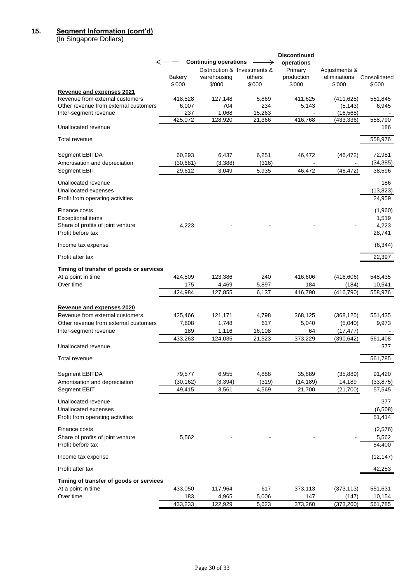## **15. Segment Information (cont'd)**

(In Singapore Dollars)

| ←                                                                        |                         | <b>Continuing operations</b> |                                                  | <b>Discontinued</b><br>operations |                                         |                        |
|--------------------------------------------------------------------------|-------------------------|------------------------------|--------------------------------------------------|-----------------------------------|-----------------------------------------|------------------------|
|                                                                          | Bakery<br>\$'000        | warehousing<br>\$'000        | Distribution & Investments &<br>others<br>\$'000 | Primary<br>production<br>\$'000   | Adjustments &<br>eliminations<br>\$'000 | Consolidated<br>\$'000 |
| Revenue and expenses 2021                                                |                         |                              |                                                  |                                   |                                         |                        |
| Revenue from external customers<br>Other revenue from external customers | 418,828<br>6,007<br>237 | 127,148<br>704<br>1,068      | 5,869<br>234                                     | 411,625<br>5,143                  | (411, 625)<br>(5, 143)                  | 551,845<br>6,945       |
| Inter-segment revenue                                                    | 425,072                 | 128,920                      | 15,263<br>21,366                                 | 416,768                           | (16, 568)<br>(433, 336)                 | 558,790                |
| Unallocated revenue                                                      |                         |                              |                                                  |                                   |                                         | 186                    |
| Total revenue                                                            |                         |                              |                                                  |                                   |                                         | 558,976                |
| Segment EBITDA                                                           | 60,293                  | 6,437                        | 6,251                                            | 46,472                            | (46, 472)                               | 72,981                 |
| Amortisation and depreciation                                            | (30, 681)               | (3, 388)                     | (316)                                            |                                   |                                         | (34, 385)              |
| Segment EBIT                                                             | 29,612                  | 3,049                        | 5,935                                            | 46,472                            | (46, 472)                               | 38,596                 |
| Unallocated revenue                                                      |                         |                              |                                                  |                                   |                                         | 186                    |
| Unallocated expenses                                                     |                         |                              |                                                  |                                   |                                         | (13, 823)              |
| Profit from operating activities                                         |                         |                              |                                                  |                                   |                                         | 24,959                 |
| Finance costs                                                            |                         |                              |                                                  |                                   |                                         | (1,960)                |
| <b>Exceptional items</b>                                                 |                         |                              |                                                  |                                   |                                         | 1,519                  |
| Share of profits of joint venture                                        | 4,223                   |                              |                                                  |                                   |                                         | 4,223                  |
| Profit before tax                                                        |                         |                              |                                                  |                                   |                                         | 28,741                 |
| Income tax expense                                                       |                         |                              |                                                  |                                   |                                         | (6, 344)               |
| Profit after tax                                                         |                         |                              |                                                  |                                   |                                         | 22,397                 |
| Timing of transfer of goods or services                                  |                         |                              |                                                  |                                   |                                         |                        |
| At a point in time                                                       | 424,809                 | 123,386                      | 240                                              | 416,606                           | (416, 606)                              | 548,435                |
| Over time                                                                | 175                     | 4,469                        | 5,897                                            | 184                               | (184)                                   | 10,541                 |
|                                                                          | 424,984                 | 127,855                      | 6,137                                            | 416,790                           | (416, 790)                              | 558,976                |
| Revenue and expenses 2020                                                |                         |                              |                                                  |                                   |                                         |                        |
| Revenue from external customers                                          | 425,466                 | 121,171                      | 4,798                                            | 368,125                           | (368, 125)                              | 551,435                |
| Other revenue from external customers                                    | 7,608                   | 1.748                        | 617                                              | 5,040                             | (5,040)                                 | 9,973                  |
| Inter-segment revenue                                                    | 189                     | 1,116                        | 16,108                                           | 64                                | (17, 477)                               |                        |
|                                                                          | 433,263                 | 124,035                      | 21,523                                           | 373,229                           | (390, 642)                              | 561,408                |
| Unallocated revenue                                                      |                         |                              |                                                  |                                   |                                         | 377                    |
| Total revenue                                                            |                         |                              |                                                  |                                   |                                         | 561,785                |
| Segment EBITDA                                                           | 79,577                  | 6,955                        | 4,888                                            | 35,889                            | (35, 889)                               | 91,420                 |
| Amortisation and depreciation                                            | (30, 162)               | (3, 394)                     | (319)                                            | (14, 189)                         | 14,189                                  | (33, 875)              |
| Segment EBIT                                                             | 49,415                  | 3,561                        | 4,569                                            | 21,700                            | (21,700)                                | 57,545                 |
| Unallocated revenue                                                      |                         |                              |                                                  |                                   |                                         | 377                    |
| Unallocated expenses                                                     |                         |                              |                                                  |                                   |                                         | (6,508)                |
| Profit from operating activities                                         |                         |                              |                                                  |                                   |                                         | 51,414                 |
| Finance costs                                                            |                         |                              |                                                  |                                   |                                         | (2,576)                |
| Share of profits of joint venture                                        | 5,562                   |                              |                                                  |                                   |                                         | 5,562                  |
| Profit before tax                                                        |                         |                              |                                                  |                                   |                                         | 54,400                 |
| Income tax expense                                                       |                         |                              |                                                  |                                   |                                         | (12, 147)              |
| Profit after tax                                                         |                         |                              |                                                  |                                   |                                         | 42,253                 |
| Timing of transfer of goods or services                                  |                         |                              |                                                  |                                   |                                         |                        |
| At a point in time                                                       | 433,050                 | 117,964                      | 617                                              | 373,113                           | (373, 113)                              | 551,631                |
| Over time                                                                | 183                     | 4,965                        | 5,006                                            | 147                               | (147)                                   | 10,154                 |
|                                                                          | 433,233                 | 122,929                      | 5,623                                            | 373,260                           | (373, 260)                              | 561,785                |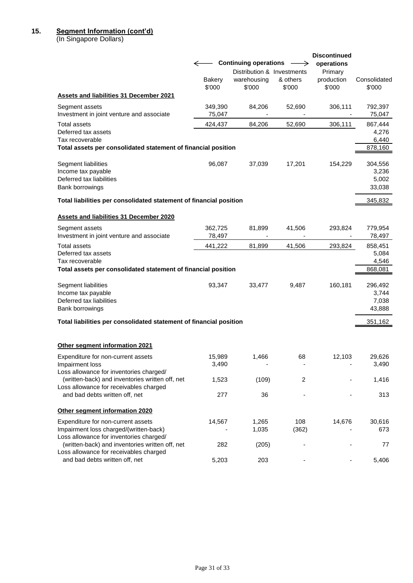### **15. Segment Information (cont'd)**

(In Singapore Dollars)

|                                                                                                                                      | $\leftarrow$<br><b>Bakery</b><br>\$'000 | <b>Continuing operations</b><br>Distribution & Investments<br>warehousing<br>\$'000 | →<br>& others<br>\$'000            | <b>Discontinued</b><br>operations<br>Primary<br>production<br>\$'000 | Consolidated<br>\$'000               |
|--------------------------------------------------------------------------------------------------------------------------------------|-----------------------------------------|-------------------------------------------------------------------------------------|------------------------------------|----------------------------------------------------------------------|--------------------------------------|
| <b>Assets and liabilities 31 December 2021</b>                                                                                       |                                         |                                                                                     |                                    |                                                                      |                                      |
| Segment assets<br>Investment in joint venture and associate                                                                          | 349,390<br>75,047                       | 84,206                                                                              | 52,690<br>$\overline{\phantom{a}}$ | 306,111<br>$\overline{\phantom{a}}$                                  | 792,397<br>75,047                    |
| Total assets<br>Deferred tax assets<br>Tax recoverable                                                                               | 424,437                                 | 84,206                                                                              | 52,690                             | 306,111                                                              | 867,444<br>4,276<br>6,440            |
| Total assets per consolidated statement of financial position                                                                        |                                         |                                                                                     |                                    |                                                                      | 878,160                              |
| Segment liabilities<br>Income tax payable<br>Deferred tax liabilities<br>Bank borrowings                                             | 96,087                                  | 37,039                                                                              | 17,201                             | 154,229                                                              | 304,556<br>3,236<br>5,002<br>33,038  |
| Total liabilities per consolidated statement of financial position                                                                   |                                         |                                                                                     |                                    |                                                                      | 345,832                              |
| <b>Assets and liabilities 31 December 2020</b>                                                                                       |                                         |                                                                                     |                                    |                                                                      |                                      |
| Segment assets<br>Investment in joint venture and associate                                                                          | 362,725<br>78,497                       | 81,899                                                                              | 41,506                             | 293,824                                                              | 779,954<br>78,497                    |
| <b>Total assets</b><br>Deferred tax assets<br>Tax recoverable<br>Total assets per consolidated statement of financial position       | 441,222                                 | 81,899                                                                              | 41,506                             | 293,824                                                              | 858,451<br>5,084<br>4,546<br>868,081 |
| Segment liabilities<br>Income tax payable<br>Deferred tax liabilities<br>Bank borrowings                                             | 93,347                                  | 33,477                                                                              | 9,487                              | 160,181                                                              | 296,492<br>3,744<br>7,038<br>43,888  |
| Total liabilities per consolidated statement of financial position                                                                   |                                         |                                                                                     |                                    |                                                                      | 351,162                              |
| Other segment information 2021                                                                                                       |                                         |                                                                                     |                                    |                                                                      |                                      |
| Expenditure for non-current assets<br>Impairment loss                                                                                | 15,989<br>3,490                         | 1,466                                                                               | 68                                 | 12,103                                                               | 29.626<br>3,490                      |
| Loss allowance for inventories charged/<br>(written-back) and inventories written off, net<br>Loss allowance for receivables charged | 1,523                                   | (109)                                                                               | 2                                  |                                                                      | 1,416                                |
| and bad debts written off, net                                                                                                       | 277                                     | 36                                                                                  |                                    |                                                                      | 313                                  |
| Other segment information 2020                                                                                                       |                                         |                                                                                     |                                    |                                                                      |                                      |
| Expenditure for non-current assets<br>Impairment loss charged/(written-back)                                                         | 14,567                                  | 1,265<br>1,035                                                                      | 108<br>(362)                       | 14,676                                                               | 30,616<br>673                        |
| Loss allowance for inventories charged/<br>(written-back) and inventories written off, net<br>Loss allowance for receivables charged | 282                                     | (205)                                                                               |                                    |                                                                      | 77                                   |
| and bad debts written off, net                                                                                                       | 5,203                                   | 203                                                                                 |                                    |                                                                      | 5,406                                |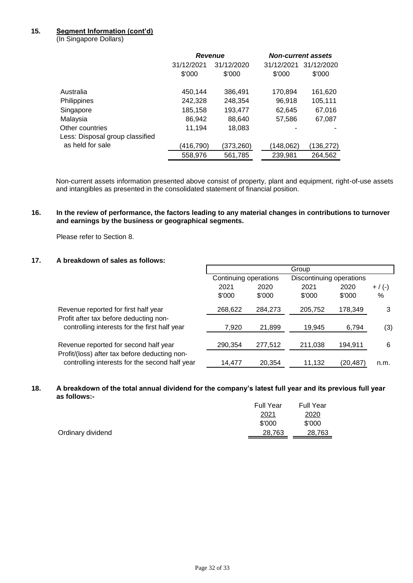# **15. Segment Information (cont'd)**

(In Singapore Dollars)

|                                 | <b>Revenue</b> |            |            | <b>Non-current assets</b> |
|---------------------------------|----------------|------------|------------|---------------------------|
|                                 | 31/12/2021     | 31/12/2020 | 31/12/2021 | 31/12/2020                |
|                                 | \$'000         | \$'000     | \$'000     | \$'000                    |
| Australia                       | 450,144        | 386,491    | 170,894    | 161,620                   |
| Philippines                     | 242,328        | 248,354    | 96,918     | 105,111                   |
| Singapore                       | 185,158        | 193,477    | 62,645     | 67,016                    |
| Malaysia                        | 86,942         | 88,640     | 57,586     | 67,087                    |
| Other countries                 | 11,194         | 18,083     |            |                           |
| Less: Disposal group classified |                |            |            |                           |
| as held for sale                | (416,790)      | (373,260)  | (148,062)  | (136,272)                 |
|                                 | 558,976        | 561,785    | 239,981    | 264,562                   |

Non-current assets information presented above consist of property, plant and equipment, right-of-use assets and intangibles as presented in the consolidated statement of financial position.

### **16. In the review of performance, the factors leading to any material changes in contributions to turnover and earnings by the business or geographical segments.**

Please refer to Section 8.

# **17. A breakdown of sales as follows:**

|                                                                                                 |                       |         | Group                    |           |           |
|-------------------------------------------------------------------------------------------------|-----------------------|---------|--------------------------|-----------|-----------|
|                                                                                                 | Continuing operations |         | Discontinuing operations |           |           |
|                                                                                                 | 2021                  | 2020    | 2021                     | 2020      | $+ / (-)$ |
|                                                                                                 | \$'000                | \$'000  | \$'000                   | \$'000    | %         |
| Revenue reported for first half year                                                            | 268,622               | 284,273 | 205,752                  | 178,349   | 3         |
| Profit after tax before deducting non-<br>controlling interests for the first half year         | 7,920                 | 21,899  | 19,945                   | 6,794     | (3)       |
| Revenue reported for second half year                                                           | 290,354               | 277,512 | 211,038                  | 194,911   | 6         |
| Profit/(loss) after tax before deducting non-<br>controlling interests for the second half year | 14.477                | 20,354  | 11,132                   | (20, 487) | n.m.      |

### **18. A breakdown of the total annual dividend for the company's latest full year and its previous full year as follows:-**

|                   | <b>Full Year</b> | <b>Full Year</b> |
|-------------------|------------------|------------------|
|                   | 2021             | 2020             |
|                   | \$'000           | \$'000           |
| Ordinary dividend | 28,763           | 28,763           |